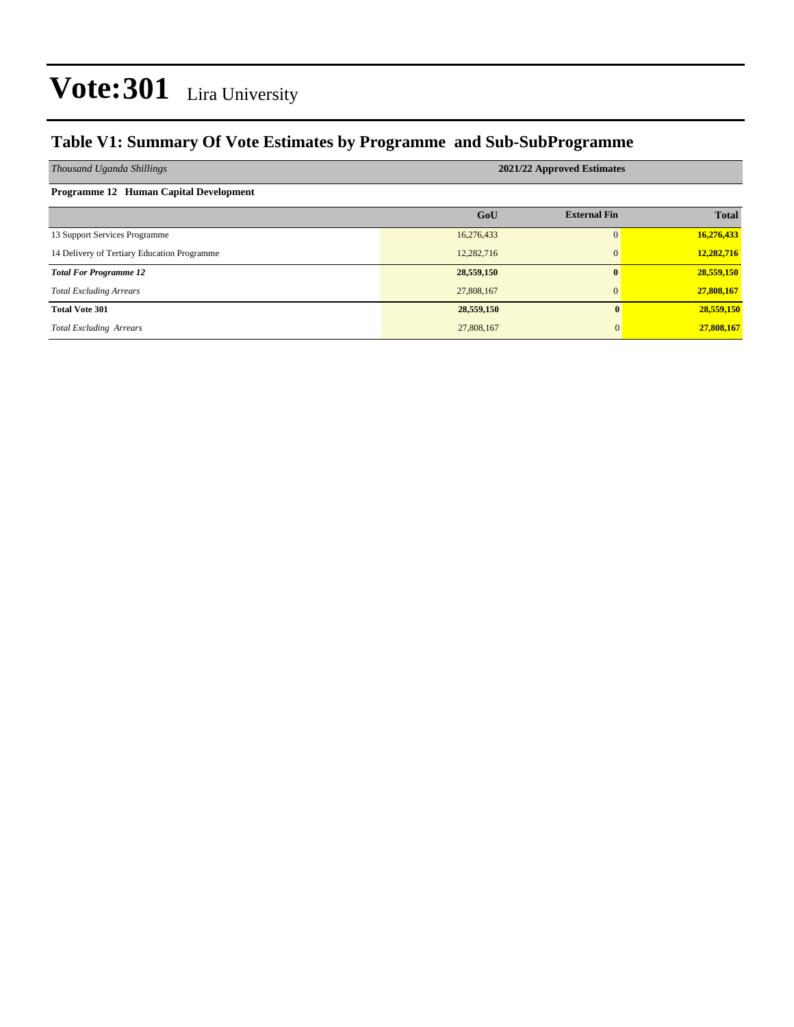### **Table V1: Summary Of Vote Estimates by Programme and Sub-SubProgramme**

| Thousand Uganda Shillings                   | 2021/22 Approved Estimates |                     |              |  |  |  |  |  |  |  |  |
|---------------------------------------------|----------------------------|---------------------|--------------|--|--|--|--|--|--|--|--|
| Programme 12 Human Capital Development      |                            |                     |              |  |  |  |  |  |  |  |  |
|                                             | GoU                        | <b>External Fin</b> | <b>Total</b> |  |  |  |  |  |  |  |  |
| 13 Support Services Programme               | 16,276,433                 | $\Omega$            | 16,276,433   |  |  |  |  |  |  |  |  |
| 14 Delivery of Tertiary Education Programme | 12,282,716                 | $\mathbf{0}$        | 12,282,716   |  |  |  |  |  |  |  |  |
| <b>Total For Programme 12</b>               | 28,559,150                 | $\mathbf{0}$        | 28,559,150   |  |  |  |  |  |  |  |  |
| <b>Total Excluding Arrears</b>              | 27,808,167                 | $\mathbf{0}$        | 27,808,167   |  |  |  |  |  |  |  |  |
| <b>Total Vote 301</b>                       | 28,559,150                 | $\mathbf{0}$        | 28,559,150   |  |  |  |  |  |  |  |  |
| <b>Total Excluding Arrears</b>              | 27,808,167                 | $\Omega$            | 27,808,167   |  |  |  |  |  |  |  |  |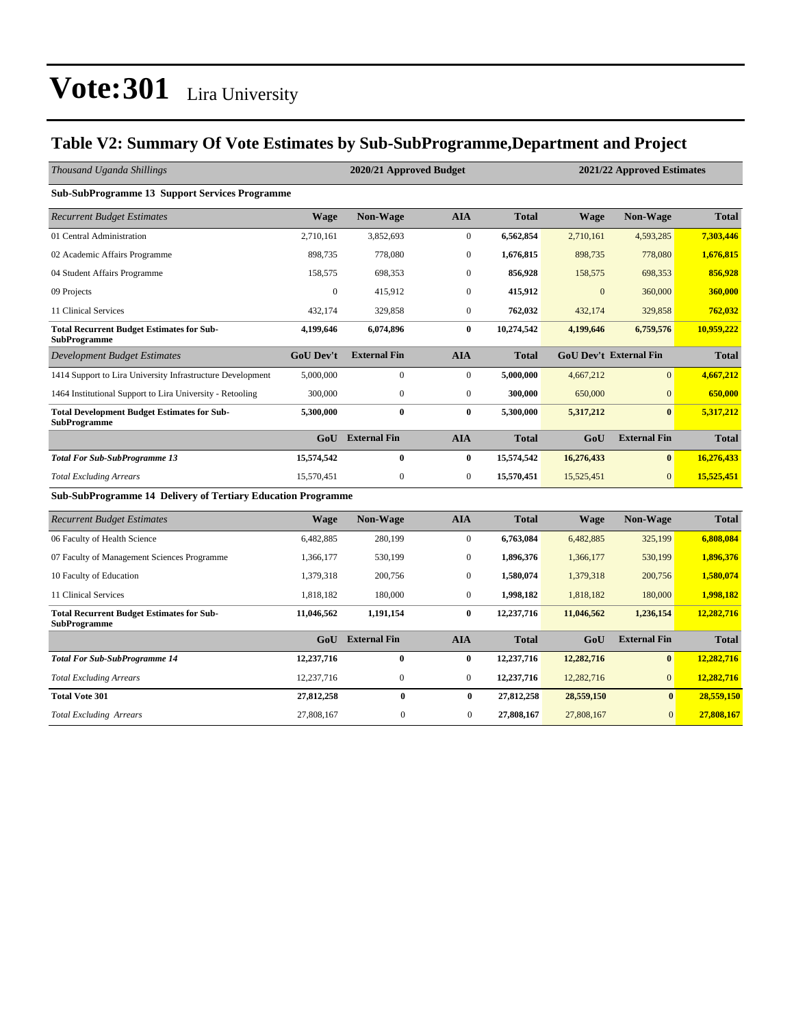### **Table V2: Summary Of Vote Estimates by Sub-SubProgramme,Department and Project**

| Thousand Uganda Shillings                                                 |                  | 2020/21 Approved Budget |                  | 2021/22 Approved Estimates |              |                               |              |
|---------------------------------------------------------------------------|------------------|-------------------------|------------------|----------------------------|--------------|-------------------------------|--------------|
| <b>Sub-SubProgramme 13 Support Services Programme</b>                     |                  |                         |                  |                            |              |                               |              |
| <b>Recurrent Budget Estimates</b>                                         | <b>Wage</b>      | Non-Wage                | <b>AIA</b>       | <b>Total</b>               | <b>Wage</b>  | Non-Wage                      | <b>Total</b> |
| 01 Central Administration                                                 | 2,710,161        | 3,852,693               | $\overline{0}$   | 6,562,854                  | 2,710,161    | 4,593,285                     | 7,303,446    |
| 02 Academic Affairs Programme                                             | 898,735          | 778,080                 | $\mathbf{0}$     | 1,676,815                  | 898,735      | 778,080                       | 1.676.815    |
| 04 Student Affairs Programme                                              | 158,575          | 698,353                 | $\mathbf{0}$     | 856,928                    | 158,575      | 698,353                       | 856,928      |
| 09 Projects                                                               | $\mathbf{0}$     | 415,912                 | $\mathbf{0}$     | 415,912                    | $\mathbf{0}$ | 360,000                       | 360,000      |
| 11 Clinical Services                                                      | 432,174          | 329,858                 | $\overline{0}$   | 762,032                    | 432,174      | 329,858                       | 762,032      |
| <b>Total Recurrent Budget Estimates for Sub-</b><br><b>SubProgramme</b>   | 4,199,646        | 6,074,896               | $\bf{0}$         | 10,274,542                 | 4,199,646    | 6,759,576                     | 10,959,222   |
| Development Budget Estimates                                              | <b>GoU Dev't</b> | <b>External Fin</b>     | <b>AIA</b>       | <b>Total</b>               |              | <b>GoU Dev't External Fin</b> | <b>Total</b> |
| 1414 Support to Lira University Infrastructure Development                | 5,000,000        | $\mathbf{0}$            | $\overline{0}$   | 5,000,000                  | 4,667,212    | $\overline{0}$                | 4,667,212    |
| 1464 Institutional Support to Lira University - Retooling                 | 300,000          | $\mathbf{0}$            | $\overline{0}$   | 300,000                    | 650,000      | $\mathbf{0}$                  | 650,000      |
| <b>Total Development Budget Estimates for Sub-</b><br><b>SubProgramme</b> | 5,300,000        | $\bf{0}$                | $\bf{0}$         | 5,300,000                  | 5,317,212    | $\mathbf{0}$                  | 5,317,212    |
|                                                                           | GoU              | <b>External Fin</b>     | <b>AIA</b>       | <b>Total</b>               | GoU          | <b>External Fin</b>           | <b>Total</b> |
| <b>Total For Sub-SubProgramme 13</b>                                      | 15,574,542       | $\bf{0}$                | $\bf{0}$         | 15,574,542                 | 16,276,433   | $\bf{0}$                      | 16,276,433   |
| <b>Total Excluding Arrears</b>                                            | 15,570,451       | $\boldsymbol{0}$        | $\boldsymbol{0}$ | 15,570,451                 | 15,525,451   | $\overline{0}$                | 15,525,451   |
| <b>Sub-SubProgramme 14 Delivery of Tertiary Education Programme</b>       |                  |                         |                  |                            |              |                               |              |
| <b>Recurrent Budget Estimates</b>                                         | <b>Wage</b>      | Non-Wage                | <b>AIA</b>       | <b>Total</b>               | <b>Wage</b>  | Non-Wage                      | <b>Total</b> |
| 06 Faculty of Health Science                                              | 6,482,885        | 280,199                 | $\boldsymbol{0}$ | 6,763,084                  | 6,482,885    | 325,199                       | 6,808,084    |
| 07 Faculty of Management Sciences Programme                               | 1,366,177        | 530,199                 | $\mathbf{0}$     | 1,896,376                  | 1,366,177    | 530,199                       | 1,896,376    |
| 10 Faculty of Education                                                   | 1,379,318        | 200,756                 | $\boldsymbol{0}$ | 1,580,074                  | 1,379,318    | 200,756                       | 1,580,074    |
| 11 Clinical Services                                                      | 1,818,182        | 180,000                 | $\boldsymbol{0}$ | 1,998,182                  | 1,818,182    | 180,000                       | 1,998,182    |
| <b>Total Recurrent Budget Estimates for Sub-</b><br><b>SubProgramme</b>   | 11,046,562       | 1,191,154               | $\bf{0}$         | 12,237,716                 | 11,046,562   | 1,236,154                     | 12,282,716   |
|                                                                           | GoU              | <b>External Fin</b>     | <b>AIA</b>       | <b>Total</b>               | GoU          | <b>External Fin</b>           | <b>Total</b> |
| <b>Total For Sub-SubProgramme 14</b>                                      | 12,237,716       | $\bf{0}$                | $\bf{0}$         | 12,237,716                 | 12,282,716   | $\bf{0}$                      | 12,282,716   |
| <b>Total Excluding Arrears</b>                                            | 12,237,716       | $\boldsymbol{0}$        | $\boldsymbol{0}$ | 12,237,716                 | 12,282,716   | $\overline{0}$                | 12,282,716   |
| <b>Total Vote 301</b>                                                     | 27,812,258       | $\bf{0}$                | $\bf{0}$         | 27,812,258                 | 28,559,150   | $\bf{0}$                      | 28,559,150   |
| <b>Total Excluding Arrears</b>                                            | 27,808,167       | $\boldsymbol{0}$        | $\overline{0}$   | 27,808,167                 | 27,808,167   | $\mathbf{0}$                  | 27,808,167   |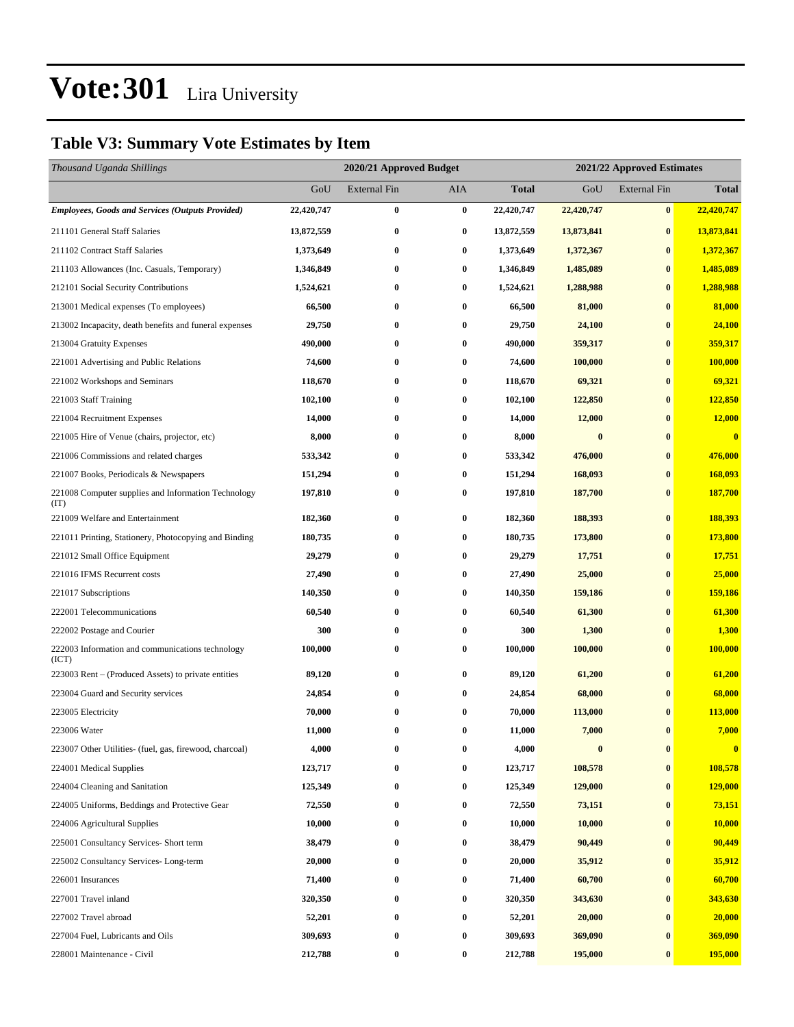### **Table V3: Summary Vote Estimates by Item**

| Thousand Uganda Shillings                                   |            | 2020/21 Approved Budget |            |              | 2021/22 Approved Estimates |                     |                |  |
|-------------------------------------------------------------|------------|-------------------------|------------|--------------|----------------------------|---------------------|----------------|--|
|                                                             | GoU        | <b>External Fin</b>     | <b>AIA</b> | <b>Total</b> | GoU                        | <b>External Fin</b> | <b>Total</b>   |  |
| <b>Employees, Goods and Services (Outputs Provided)</b>     | 22,420,747 | $\bf{0}$                | $\bf{0}$   | 22,420,747   | 22,420,747                 | $\bf{0}$            | 22,420,747     |  |
| 211101 General Staff Salaries                               | 13,872,559 | $\bf{0}$                | $\bf{0}$   | 13,872,559   | 13,873,841                 | $\bf{0}$            | 13,873,841     |  |
| 211102 Contract Staff Salaries                              | 1,373,649  | $\bf{0}$                | $\bf{0}$   | 1,373,649    | 1,372,367                  | $\bf{0}$            | 1,372,367      |  |
| 211103 Allowances (Inc. Casuals, Temporary)                 | 1,346,849  | $\bf{0}$                | $\bf{0}$   | 1,346,849    | 1,485,089                  | $\bf{0}$            | 1,485,089      |  |
| 212101 Social Security Contributions                        | 1,524,621  | $\bf{0}$                | $\bf{0}$   | 1,524,621    | 1,288,988                  | $\bf{0}$            | 1,288,988      |  |
| 213001 Medical expenses (To employees)                      | 66,500     | $\bf{0}$                | $\bf{0}$   | 66,500       | 81,000                     | $\bf{0}$            | 81,000         |  |
| 213002 Incapacity, death benefits and funeral expenses      | 29,750     | $\bf{0}$                | $\bf{0}$   | 29,750       | 24,100                     | $\bf{0}$            | 24,100         |  |
| 213004 Gratuity Expenses                                    | 490,000    | 0                       | $\bf{0}$   | 490,000      | 359,317                    | $\bf{0}$            | 359,317        |  |
| 221001 Advertising and Public Relations                     | 74,600     | $\bf{0}$                | $\bf{0}$   | 74,600       | 100,000                    | $\bf{0}$            | 100,000        |  |
| 221002 Workshops and Seminars                               | 118,670    | $\bf{0}$                | $\bf{0}$   | 118,670      | 69,321                     | $\bf{0}$            | 69,321         |  |
| 221003 Staff Training                                       | 102,100    | $\bf{0}$                | $\bf{0}$   | 102,100      | 122,850                    | $\bf{0}$            | 122,850        |  |
| 221004 Recruitment Expenses                                 | 14,000     | $\bf{0}$                | $\bf{0}$   | 14,000       | 12,000                     | $\bf{0}$            | 12,000         |  |
| 221005 Hire of Venue (chairs, projector, etc)               | 8,000      | 0                       | $\bf{0}$   | 8,000        | $\bf{0}$                   | $\bf{0}$            | $\bf{0}$       |  |
| 221006 Commissions and related charges                      | 533,342    | $\bf{0}$                | $\bf{0}$   | 533,342      | 476,000                    | $\bf{0}$            | 476,000        |  |
| 221007 Books, Periodicals & Newspapers                      | 151,294    | $\bf{0}$                | $\bf{0}$   | 151,294      | 168,093                    | $\bf{0}$            | 168,093        |  |
| 221008 Computer supplies and Information Technology<br>(TT) | 197,810    | $\bf{0}$                | $\bf{0}$   | 197,810      | 187,700                    | $\bf{0}$            | 187,700        |  |
| 221009 Welfare and Entertainment                            | 182,360    | $\bf{0}$                | $\bf{0}$   | 182,360      | 188,393                    | $\bf{0}$            | 188,393        |  |
| 221011 Printing, Stationery, Photocopying and Binding       | 180,735    | $\bf{0}$                | $\bf{0}$   | 180,735      | 173,800                    | $\bf{0}$            | 173,800        |  |
| 221012 Small Office Equipment                               | 29,279     | $\bf{0}$                | $\bf{0}$   | 29,279       | 17,751                     | $\bf{0}$            | 17,751         |  |
| 221016 IFMS Recurrent costs                                 | 27,490     | $\bf{0}$                | $\bf{0}$   | 27,490       | 25,000                     | $\bf{0}$            | 25,000         |  |
| 221017 Subscriptions                                        | 140,350    | 0                       | $\bf{0}$   | 140,350      | 159,186                    | $\bf{0}$            | 159,186        |  |
| 222001 Telecommunications                                   | 60,540     | 0                       | $\bf{0}$   | 60,540       | 61,300                     | $\bf{0}$            | 61,300         |  |
| 222002 Postage and Courier                                  | 300        | $\bf{0}$                | $\bf{0}$   | 300          | 1,300                      | $\bf{0}$            | 1,300          |  |
| 222003 Information and communications technology<br>(ICT)   | 100,000    | $\bf{0}$                | $\bf{0}$   | 100,000      | 100,000                    | $\bf{0}$            | 100,000        |  |
| 223003 Rent – (Produced Assets) to private entities         | 89,120     | $\bf{0}$                | $\bf{0}$   | 89,120       | 61,200                     | $\bf{0}$            | 61,200         |  |
| 223004 Guard and Security services                          | 24,854     | $\bf{0}$                | $\bf{0}$   | 24,854       | 68,000                     | $\bf{0}$            | 68,000         |  |
| 223005 Electricity                                          | 70,000     | 0                       | $\bf{0}$   | 70,000       | 113,000                    | $\bf{0}$            | 113,000        |  |
| 223006 Water                                                | 11,000     | $\bf{0}$                | $\bf{0}$   | 11,000       | 7,000                      | $\bf{0}$            | 7,000          |  |
| 223007 Other Utilities- (fuel, gas, firewood, charcoal)     | 4,000      | 0                       | $\bf{0}$   | 4,000        | $\bf{0}$                   | $\bf{0}$            | $\bf{0}$       |  |
| 224001 Medical Supplies                                     | 123,717    | $\bf{0}$                | $\bf{0}$   | 123,717      | 108,578                    | $\bf{0}$            | 108,578        |  |
| 224004 Cleaning and Sanitation                              | 125,349    | $\bf{0}$                | $\bf{0}$   | 125,349      | 129,000                    | $\bf{0}$            | <b>129,000</b> |  |
| 224005 Uniforms, Beddings and Protective Gear               | 72,550     | $\bf{0}$                | $\bf{0}$   | 72,550       | 73,151                     | $\bf{0}$            | 73,151         |  |
| 224006 Agricultural Supplies                                | 10,000     | $\bf{0}$                | $\bf{0}$   | 10,000       | 10,000                     | $\bf{0}$            | 10,000         |  |
| 225001 Consultancy Services- Short term                     | 38,479     | $\bf{0}$                | $\bf{0}$   | 38,479       | 90,449                     | $\bf{0}$            | 90,449         |  |
| 225002 Consultancy Services-Long-term                       | 20,000     | $\bf{0}$                | $\bf{0}$   | 20,000       | 35,912                     | $\bf{0}$            | 35,912         |  |
| 226001 Insurances                                           | 71,400     | $\bf{0}$                | $\bf{0}$   | 71,400       | 60,700                     | $\bf{0}$            | 60,700         |  |
| 227001 Travel inland                                        | 320,350    | 0                       | $\bf{0}$   | 320,350      | 343,630                    | $\bf{0}$            | 343,630        |  |
| 227002 Travel abroad                                        | 52,201     | $\bf{0}$                | $\bf{0}$   | 52,201       | 20,000                     | $\bf{0}$            | 20,000         |  |
| 227004 Fuel, Lubricants and Oils                            | 309,693    | $\bf{0}$                | $\bf{0}$   | 309,693      | 369,090                    | $\bf{0}$            | 369,090        |  |
| 228001 Maintenance - Civil                                  | 212,788    | $\bf{0}$                | $\bf{0}$   | 212,788      | 195,000                    | $\bf{0}$            | 195,000        |  |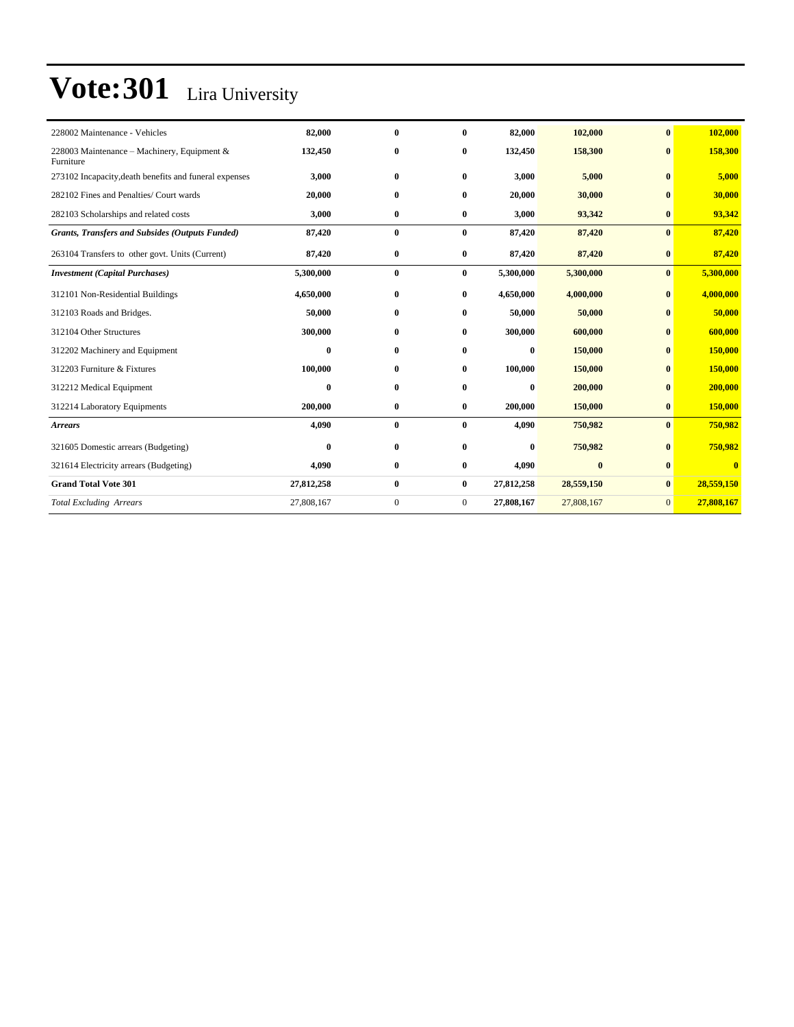| 228002 Maintenance - Vehicles                              | 82,000     | $\bf{0}$     | $\bf{0}$     | 82,000     | 102,000    | $\mathbf{0}$ | 102,000    |
|------------------------------------------------------------|------------|--------------|--------------|------------|------------|--------------|------------|
| 228003 Maintenance – Machinery, Equipment $&$<br>Furniture | 132,450    | $\bf{0}$     | $\bf{0}$     | 132,450    | 158,300    | $\mathbf{0}$ | 158,300    |
| 273102 Incapacity, death benefits and funeral expenses     | 3,000      | $\bf{0}$     | $\bf{0}$     | 3,000      | 5,000      | $\bf{0}$     | 5,000      |
| 282102 Fines and Penalties/ Court wards                    | 20,000     | $\mathbf{0}$ | $\bf{0}$     | 20,000     | 30,000     | $\mathbf{0}$ | 30,000     |
| 282103 Scholarships and related costs                      | 3,000      | $\bf{0}$     | $\bf{0}$     | 3,000      | 93,342     | $\bf{0}$     | 93,342     |
| <b>Grants, Transfers and Subsides (Outputs Funded)</b>     | 87,420     | $\bf{0}$     | $\bf{0}$     | 87,420     | 87,420     | $\mathbf{0}$ | 87,420     |
| 263104 Transfers to other govt. Units (Current)            | 87,420     | $\bf{0}$     | 0            | 87,420     | 87,420     | $\bf{0}$     | 87,420     |
| <b>Investment</b> (Capital Purchases)                      | 5,300,000  | $\bf{0}$     | $\bf{0}$     | 5,300,000  | 5,300,000  | $\bf{0}$     | 5,300,000  |
| 312101 Non-Residential Buildings                           | 4,650,000  | $\bf{0}$     | $\bf{0}$     | 4,650,000  | 4,000,000  | $\bf{0}$     | 4,000,000  |
| 312103 Roads and Bridges.                                  | 50,000     | $\bf{0}$     | $\bf{0}$     | 50,000     | 50,000     | $\mathbf{0}$ | 50,000     |
| 312104 Other Structures                                    | 300,000    | $\bf{0}$     | $\bf{0}$     | 300,000    | 600,000    | $\bf{0}$     | 600,000    |
| 312202 Machinery and Equipment                             | $\bf{0}$   | $\bf{0}$     | $\bf{0}$     | $\bf{0}$   | 150,000    | $\bf{0}$     | 150,000    |
| 312203 Furniture & Fixtures                                | 100.000    | $\bf{0}$     | $\bf{0}$     | 100.000    | 150,000    | $\bf{0}$     | 150,000    |
| 312212 Medical Equipment                                   | $\bf{0}$   | $\mathbf{0}$ | $\bf{0}$     | $\bf{0}$   | 200,000    | $\mathbf{0}$ | 200,000    |
| 312214 Laboratory Equipments                               | 200,000    | $\bf{0}$     | $\bf{0}$     | 200,000    | 150,000    | $\bf{0}$     | 150,000    |
| <b>Arrears</b>                                             | 4,090      | $\bf{0}$     | $\mathbf{0}$ | 4,090      | 750,982    | $\mathbf{0}$ | 750,982    |
| 321605 Domestic arrears (Budgeting)                        | $\bf{0}$   | $\bf{0}$     | $\bf{0}$     | $\bf{0}$   | 750,982    | $\mathbf{0}$ | 750,982    |
| 321614 Electricity arrears (Budgeting)                     | 4,090      | $\bf{0}$     | $\bf{0}$     | 4,090      | $\bf{0}$   | $\bf{0}$     | $\bf{0}$   |
| <b>Grand Total Vote 301</b>                                | 27,812,258 | $\bf{0}$     | $\bf{0}$     | 27,812,258 | 28,559,150 | $\bf{0}$     | 28,559,150 |
| <b>Total Excluding Arrears</b>                             | 27,808,167 | $\mathbf{0}$ | $\mathbf{0}$ | 27,808,167 | 27,808,167 | $\mathbf{0}$ | 27,808,167 |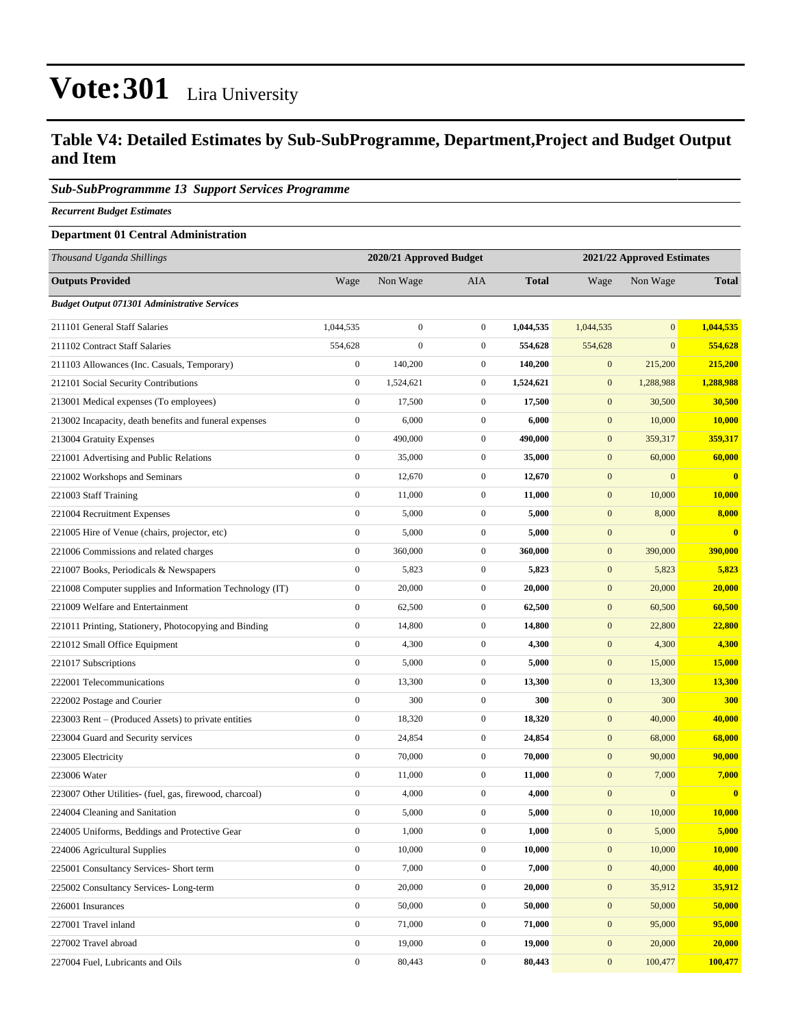### **Table V4: Detailed Estimates by Sub-SubProgramme, Department,Project and Budget Output and Item**

#### *Sub-SubProgrammme 13 Support Services Programme*

*Recurrent Budget Estimates*

#### **Department 01 Central Administration**

| Thousand Uganda Shillings                                |                  | 2020/21 Approved Budget |                  |              | 2021/22 Approved Estimates |                |                         |  |
|----------------------------------------------------------|------------------|-------------------------|------------------|--------------|----------------------------|----------------|-------------------------|--|
| <b>Outputs Provided</b>                                  | Wage             | Non Wage                | <b>AIA</b>       | <b>Total</b> | Wage                       | Non Wage       | <b>Total</b>            |  |
| <b>Budget Output 071301 Administrative Services</b>      |                  |                         |                  |              |                            |                |                         |  |
| 211101 General Staff Salaries                            | 1,044,535        | $\boldsymbol{0}$        | $\boldsymbol{0}$ | 1,044,535    | 1,044,535                  | $\overline{0}$ | 1,044,535               |  |
| 211102 Contract Staff Salaries                           | 554,628          | $\boldsymbol{0}$        | $\mathbf{0}$     | 554,628      | 554,628                    | $\overline{0}$ | 554,628                 |  |
| 211103 Allowances (Inc. Casuals, Temporary)              | $\boldsymbol{0}$ | 140,200                 | $\mathbf{0}$     | 140,200      | $\mathbf{0}$               | 215,200        | 215,200                 |  |
| 212101 Social Security Contributions                     | $\boldsymbol{0}$ | 1,524,621               | $\mathbf{0}$     | 1,524,621    | $\boldsymbol{0}$           | 1,288,988      | 1,288,988               |  |
| 213001 Medical expenses (To employees)                   | $\boldsymbol{0}$ | 17,500                  | $\mathbf{0}$     | 17,500       | $\boldsymbol{0}$           | 30,500         | 30,500                  |  |
| 213002 Incapacity, death benefits and funeral expenses   | $\boldsymbol{0}$ | 6,000                   | $\boldsymbol{0}$ | 6,000        | $\boldsymbol{0}$           | 10,000         | 10,000                  |  |
| 213004 Gratuity Expenses                                 | $\mathbf{0}$     | 490,000                 | $\mathbf{0}$     | 490,000      | $\boldsymbol{0}$           | 359,317        | 359,317                 |  |
| 221001 Advertising and Public Relations                  | $\boldsymbol{0}$ | 35,000                  | $\mathbf{0}$     | 35,000       | $\mathbf{0}$               | 60,000         | 60,000                  |  |
| 221002 Workshops and Seminars                            | $\boldsymbol{0}$ | 12,670                  | $\boldsymbol{0}$ | 12,670       | $\boldsymbol{0}$           | $\mathbf{0}$   | $\bf{0}$                |  |
| 221003 Staff Training                                    | $\boldsymbol{0}$ | 11,000                  | $\mathbf{0}$     | 11,000       | $\boldsymbol{0}$           | 10,000         | 10,000                  |  |
| 221004 Recruitment Expenses                              | $\boldsymbol{0}$ | 5,000                   | $\mathbf{0}$     | 5,000        | $\mathbf{0}$               | 8,000          | 8,000                   |  |
| 221005 Hire of Venue (chairs, projector, etc)            | $\boldsymbol{0}$ | 5,000                   | $\mathbf{0}$     | 5,000        | $\boldsymbol{0}$           | $\mathbf{0}$   | $\overline{\mathbf{0}}$ |  |
| 221006 Commissions and related charges                   | $\boldsymbol{0}$ | 360,000                 | $\mathbf{0}$     | 360,000      | $\mathbf{0}$               | 390,000        | 390,000                 |  |
| 221007 Books, Periodicals & Newspapers                   | $\boldsymbol{0}$ | 5,823                   | $\boldsymbol{0}$ | 5,823        | $\boldsymbol{0}$           | 5,823          | 5,823                   |  |
| 221008 Computer supplies and Information Technology (IT) | $\boldsymbol{0}$ | 20,000                  | $\mathbf{0}$     | 20,000       | $\boldsymbol{0}$           | 20,000         | 20,000                  |  |
| 221009 Welfare and Entertainment                         | $\boldsymbol{0}$ | 62,500                  | $\boldsymbol{0}$ | 62,500       | $\mathbf{0}$               | 60,500         | 60,500                  |  |
| 221011 Printing, Stationery, Photocopying and Binding    | $\mathbf{0}$     | 14,800                  | $\mathbf{0}$     | 14,800       | $\boldsymbol{0}$           | 22,800         | 22,800                  |  |
| 221012 Small Office Equipment                            | $\boldsymbol{0}$ | 4,300                   | $\mathbf{0}$     | 4,300        | $\mathbf{0}$               | 4,300          | 4,300                   |  |
| 221017 Subscriptions                                     | $\boldsymbol{0}$ | 5,000                   | $\boldsymbol{0}$ | 5,000        | $\boldsymbol{0}$           | 15,000         | <b>15,000</b>           |  |
| 222001 Telecommunications                                | $\boldsymbol{0}$ | 13,300                  | $\mathbf{0}$     | 13,300       | $\boldsymbol{0}$           | 13,300         | 13,300                  |  |
| 222002 Postage and Courier                               | $\boldsymbol{0}$ | 300                     | $\boldsymbol{0}$ | 300          | $\mathbf{0}$               | 300            | <b>300</b>              |  |
| 223003 Rent – (Produced Assets) to private entities      | $\mathbf{0}$     | 18,320                  | $\mathbf{0}$     | 18,320       | $\boldsymbol{0}$           | 40,000         | 40,000                  |  |
| 223004 Guard and Security services                       | $\boldsymbol{0}$ | 24,854                  | $\mathbf{0}$     | 24,854       | $\mathbf{0}$               | 68,000         | 68,000                  |  |
| 223005 Electricity                                       | $\boldsymbol{0}$ | 70,000                  | $\boldsymbol{0}$ | 70,000       | $\boldsymbol{0}$           | 90,000         | 90,000                  |  |
| 223006 Water                                             | $\boldsymbol{0}$ | 11,000                  | $\mathbf{0}$     | 11,000       | $\boldsymbol{0}$           | 7,000          | 7,000                   |  |
| 223007 Other Utilities- (fuel, gas, firewood, charcoal)  | $\boldsymbol{0}$ | 4,000                   | $\mathbf{0}$     | 4,000        | $\mathbf{0}$               | $\mathbf{0}$   | $\bf{0}$                |  |
| 224004 Cleaning and Sanitation                           | $\boldsymbol{0}$ | 5,000                   | $\mathbf{0}$     | 5,000        | $\mathbf{0}$               | 10,000         | 10,000                  |  |
| 224005 Uniforms, Beddings and Protective Gear            | $\boldsymbol{0}$ | 1,000                   | $\boldsymbol{0}$ | 1,000        | $\boldsymbol{0}$           | 5,000          | 5,000                   |  |
| 224006 Agricultural Supplies                             | $\mathbf{0}$     | 10,000                  | $\boldsymbol{0}$ | 10,000       | $\boldsymbol{0}$           | 10,000         | 10,000                  |  |
| 225001 Consultancy Services- Short term                  | $\boldsymbol{0}$ | 7,000                   | $\boldsymbol{0}$ | 7,000        | $\boldsymbol{0}$           | 40,000         | 40,000                  |  |
| 225002 Consultancy Services-Long-term                    | $\mathbf{0}$     | 20,000                  | $\boldsymbol{0}$ | 20,000       | $\mathbf{0}$               | 35,912         | 35,912                  |  |
| 226001 Insurances                                        | $\mathbf{0}$     | 50,000                  | $\boldsymbol{0}$ | 50,000       | $\bf{0}$                   | 50,000         | 50,000                  |  |
| 227001 Travel inland                                     | $\overline{0}$   | 71,000                  | $\boldsymbol{0}$ | 71,000       | $\mathbf{0}$               | 95,000         | 95,000                  |  |
| 227002 Travel abroad                                     | $\boldsymbol{0}$ | 19,000                  | $\boldsymbol{0}$ | 19,000       | $\boldsymbol{0}$           | 20,000         | 20,000                  |  |
| 227004 Fuel, Lubricants and Oils                         | $\mathbf{0}$     | 80,443                  | $\boldsymbol{0}$ | 80,443       | $\boldsymbol{0}$           | 100,477        | 100,477                 |  |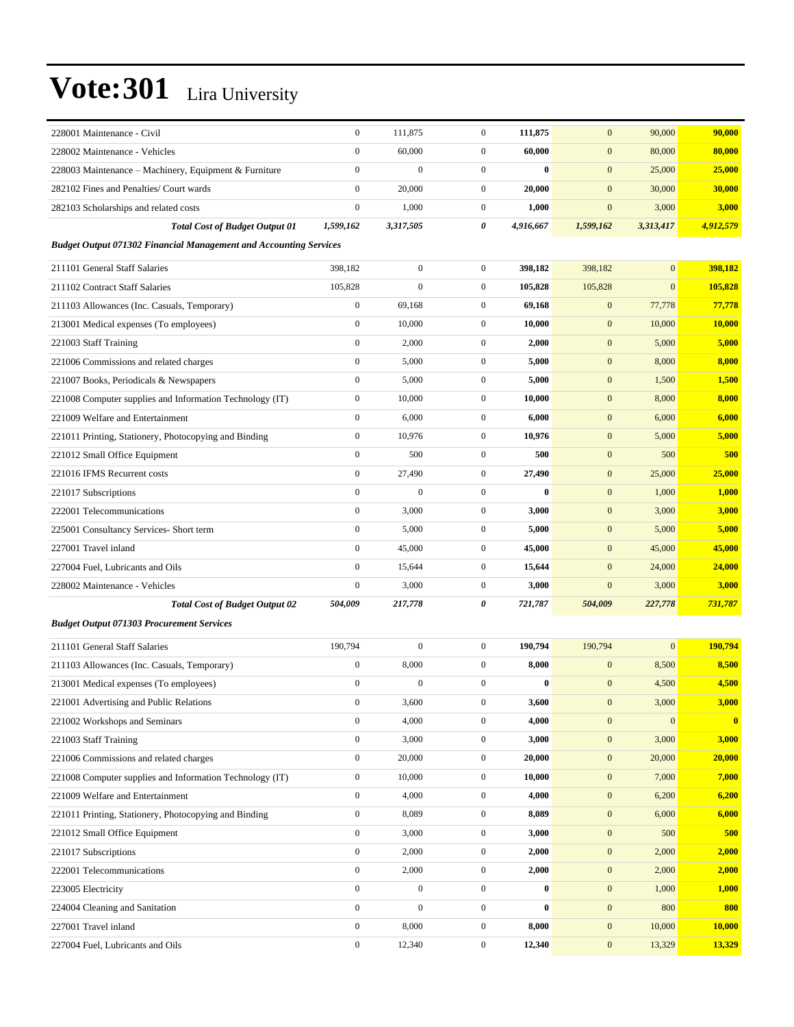| 228001 Maintenance - Civil                                               | $\boldsymbol{0}$ | 111,875          | $\boldsymbol{0}$ | 111,875   | $\mathbf{0}$     | 90,000         | 90,000    |
|--------------------------------------------------------------------------|------------------|------------------|------------------|-----------|------------------|----------------|-----------|
| 228002 Maintenance - Vehicles                                            | $\theta$         | 60,000           | $\boldsymbol{0}$ | 60,000    | $\mathbf{0}$     | 80,000         | 80,000    |
| 228003 Maintenance – Machinery, Equipment & Furniture                    | $\mathbf{0}$     | $\boldsymbol{0}$ | $\boldsymbol{0}$ | 0         | $\mathbf{0}$     | 25,000         | 25,000    |
| 282102 Fines and Penalties/ Court wards                                  | $\mathbf{0}$     | 20,000           | $\boldsymbol{0}$ | 20,000    | $\mathbf{0}$     | 30,000         | 30,000    |
| 282103 Scholarships and related costs                                    | $\mathbf{0}$     | 1,000            | $\boldsymbol{0}$ | 1,000     | $\mathbf{0}$     | 3,000          | 3,000     |
| <b>Total Cost of Budget Output 01</b>                                    | 1,599,162        | 3,317,505        | 0                | 4,916,667 | 1,599,162        | 3,313,417      | 4,912,579 |
| <b>Budget Output 071302 Financial Management and Accounting Services</b> |                  |                  |                  |           |                  |                |           |
| 211101 General Staff Salaries                                            | 398,182          | $\boldsymbol{0}$ | $\boldsymbol{0}$ | 398,182   | 398,182          | $\mathbf{0}$   | 398,182   |
| 211102 Contract Staff Salaries                                           | 105,828          | $\boldsymbol{0}$ | $\boldsymbol{0}$ | 105,828   | 105,828          | $\mathbf{0}$   | 105,828   |
| 211103 Allowances (Inc. Casuals, Temporary)                              | $\boldsymbol{0}$ | 69,168           | $\boldsymbol{0}$ | 69,168    | $\boldsymbol{0}$ | 77,778         | 77,778    |
| 213001 Medical expenses (To employees)                                   | $\mathbf{0}$     | 10,000           | $\boldsymbol{0}$ | 10,000    | $\boldsymbol{0}$ | 10,000         | 10,000    |
| 221003 Staff Training                                                    | $\boldsymbol{0}$ | 2,000            | $\boldsymbol{0}$ | 2,000     | $\mathbf{0}$     | 5,000          | 5,000     |
| 221006 Commissions and related charges                                   | $\mathbf{0}$     | 5,000            | $\boldsymbol{0}$ | 5,000     | $\boldsymbol{0}$ | 8,000          | 8,000     |
| 221007 Books, Periodicals & Newspapers                                   | $\mathbf{0}$     | 5,000            | $\boldsymbol{0}$ | 5,000     | $\mathbf{0}$     | 1,500          | 1,500     |
| 221008 Computer supplies and Information Technology (IT)                 | $\mathbf{0}$     | 10,000           | $\boldsymbol{0}$ | 10,000    | $\boldsymbol{0}$ | 8,000          | 8,000     |
| 221009 Welfare and Entertainment                                         | $\mathbf{0}$     | 6,000            | $\boldsymbol{0}$ | 6,000     | $\mathbf{0}$     | 6,000          | 6,000     |
| 221011 Printing, Stationery, Photocopying and Binding                    | $\boldsymbol{0}$ | 10,976           | $\boldsymbol{0}$ | 10,976    | $\mathbf{0}$     | 5,000          | 5,000     |
| 221012 Small Office Equipment                                            | $\theta$         | 500              | $\boldsymbol{0}$ | 500       | $\boldsymbol{0}$ | 500            | 500       |
| 221016 IFMS Recurrent costs                                              | $\mathbf{0}$     | 27,490           | $\boldsymbol{0}$ | 27,490    | $\mathbf{0}$     | 25,000         | 25,000    |
| 221017 Subscriptions                                                     | $\mathbf{0}$     | $\boldsymbol{0}$ | $\boldsymbol{0}$ | $\bf{0}$  | $\boldsymbol{0}$ | 1,000          | 1,000     |
| 222001 Telecommunications                                                | $\mathbf{0}$     | 3,000            | $\boldsymbol{0}$ | 3,000     | $\mathbf{0}$     | 3,000          | 3,000     |
| 225001 Consultancy Services- Short term                                  | $\boldsymbol{0}$ | 5,000            | $\boldsymbol{0}$ | 5,000     | $\mathbf{0}$     | 5,000          | 5,000     |
| 227001 Travel inland                                                     | $\mathbf{0}$     | 45,000           | $\boldsymbol{0}$ | 45,000    | $\mathbf{0}$     | 45,000         | 45,000    |
| 227004 Fuel, Lubricants and Oils                                         | $\mathbf{0}$     | 15,644           | $\mathbf{0}$     | 15,644    | $\mathbf{0}$     | 24,000         | 24,000    |
| 228002 Maintenance - Vehicles                                            | $\mathbf{0}$     | 3,000            | $\boldsymbol{0}$ | 3,000     | $\mathbf{0}$     | 3,000          | 3,000     |
| <b>Total Cost of Budget Output 02</b>                                    | 504,009          | 217,778          | 0                | 721,787   | 504,009          | 227,778        | 731,787   |
| <b>Budget Output 071303 Procurement Services</b>                         |                  |                  |                  |           |                  |                |           |
| 211101 General Staff Salaries                                            | 190,794          | $\boldsymbol{0}$ | $\boldsymbol{0}$ | 190,794   | 190,794          | $\overline{0}$ | 190,794   |
| 211103 Allowances (Inc. Casuals, Temporary)                              | $\boldsymbol{0}$ | 8,000            | $\boldsymbol{0}$ | 8,000     | $\mathbf{0}$     | 8,500          | 8,500     |
| 213001 Medical expenses (To employees)                                   | $\boldsymbol{0}$ | $\boldsymbol{0}$ | $\boldsymbol{0}$ | $\bf{0}$  | $\mathbf{0}$     | 4,500          | 4,500     |
| 221001 Advertising and Public Relations                                  | $\boldsymbol{0}$ | 3,600            | $\boldsymbol{0}$ | 3,600     | $\boldsymbol{0}$ | 3,000          | 3,000     |
| 221002 Workshops and Seminars                                            | $\boldsymbol{0}$ | 4,000            | $\boldsymbol{0}$ | 4,000     | $\boldsymbol{0}$ | $\mathbf{0}$   | $\bf{0}$  |
| 221003 Staff Training                                                    | $\boldsymbol{0}$ | 3,000            | $\boldsymbol{0}$ | 3,000     | $\boldsymbol{0}$ | 3,000          | 3,000     |
| 221006 Commissions and related charges                                   | $\mathbf{0}$     | 20,000           | $\boldsymbol{0}$ | 20,000    | $\boldsymbol{0}$ | 20,000         | 20,000    |
| 221008 Computer supplies and Information Technology (IT)                 | $\boldsymbol{0}$ | 10,000           | $\boldsymbol{0}$ | 10,000    | $\boldsymbol{0}$ | 7,000          | 7,000     |
| 221009 Welfare and Entertainment                                         | $\boldsymbol{0}$ | 4,000            | $\boldsymbol{0}$ | 4,000     | $\boldsymbol{0}$ | 6,200          | 6,200     |
| 221011 Printing, Stationery, Photocopying and Binding                    | $\mathbf{0}$     | 8,089            | 0                | 8,089     | $\boldsymbol{0}$ | 6,000          | 6,000     |
| 221012 Small Office Equipment                                            | $\boldsymbol{0}$ | 3,000            | $\boldsymbol{0}$ | 3,000     | $\boldsymbol{0}$ | 500            | 500       |
| 221017 Subscriptions                                                     | $\mathbf{0}$     | 2,000            | $\boldsymbol{0}$ | 2,000     | $\boldsymbol{0}$ | 2,000          | 2,000     |
| 222001 Telecommunications                                                | $\mathbf{0}$     | 2,000            | $\boldsymbol{0}$ | 2,000     | $\boldsymbol{0}$ | 2,000          | 2,000     |
| 223005 Electricity                                                       | $\boldsymbol{0}$ | $\boldsymbol{0}$ | $\boldsymbol{0}$ | $\bf{0}$  | $\boldsymbol{0}$ | 1,000          | 1,000     |
| 224004 Cleaning and Sanitation                                           | $\mathbf{0}$     | $\boldsymbol{0}$ | $\overline{0}$   | $\bf{0}$  | $\boldsymbol{0}$ | 800            | 800       |
| 227001 Travel inland                                                     | $\boldsymbol{0}$ | 8,000            | $\boldsymbol{0}$ | 8,000     | $\boldsymbol{0}$ | 10,000         | 10,000    |
| 227004 Fuel, Lubricants and Oils                                         | $\boldsymbol{0}$ | 12,340           | $\boldsymbol{0}$ | 12,340    | $\boldsymbol{0}$ | 13,329         | 13,329    |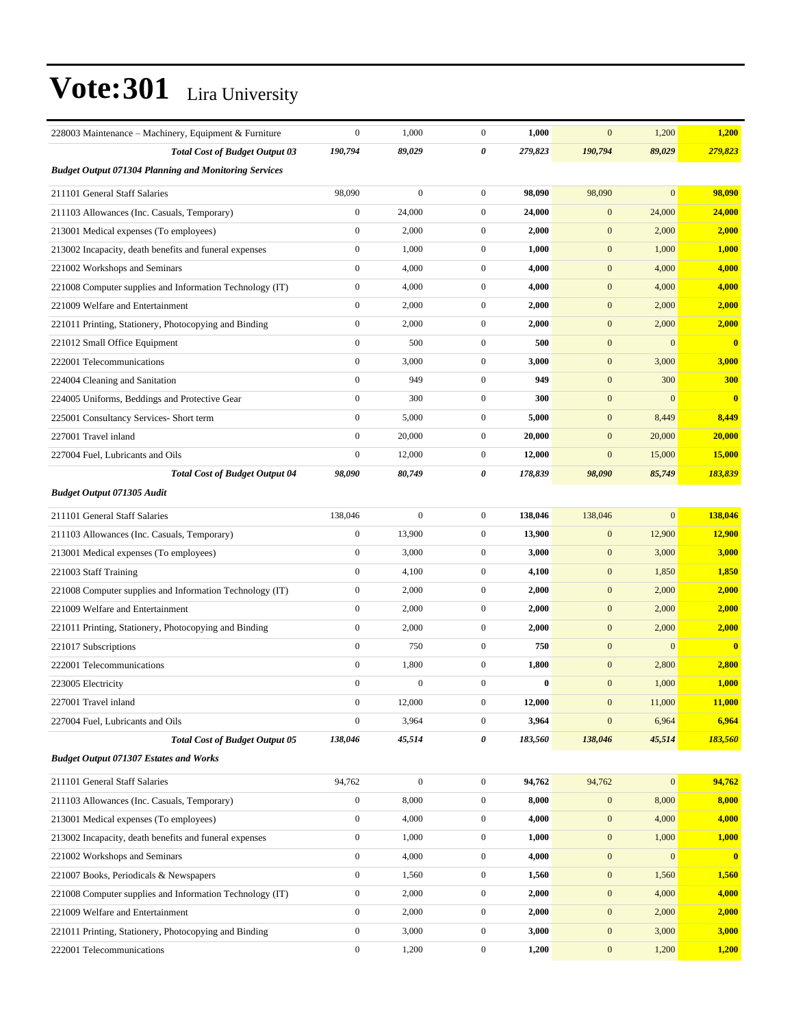| 228003 Maintenance – Machinery, Equipment & Furniture        | $\boldsymbol{0}$ | 1,000            | $\overline{0}$   | 1,000    | $\mathbf{0}$     | 1,200            | 1,200         |
|--------------------------------------------------------------|------------------|------------------|------------------|----------|------------------|------------------|---------------|
| <b>Total Cost of Budget Output 03</b>                        | 190,794          | 89,029           | 0                | 279,823  | 190,794          | 89,029           | 279,823       |
| <b>Budget Output 071304 Planning and Monitoring Services</b> |                  |                  |                  |          |                  |                  |               |
| 211101 General Staff Salaries                                | 98,090           | $\boldsymbol{0}$ | $\mathbf{0}$     | 98,090   | 98,090           | $\mathbf{0}$     | 98,090        |
| 211103 Allowances (Inc. Casuals, Temporary)                  | $\boldsymbol{0}$ | 24,000           | $\mathbf{0}$     | 24,000   | $\mathbf{0}$     | 24,000           | 24,000        |
| 213001 Medical expenses (To employees)                       | $\boldsymbol{0}$ | 2,000            | $\mathbf{0}$     | 2,000    | $\mathbf{0}$     | 2,000            | 2,000         |
| 213002 Incapacity, death benefits and funeral expenses       | $\boldsymbol{0}$ | 1,000            | $\mathbf{0}$     | 1,000    | $\mathbf{0}$     | 1,000            | 1,000         |
| 221002 Workshops and Seminars                                | $\mathbf{0}$     | 4,000            | $\overline{0}$   | 4,000    | $\mathbf{0}$     | 4,000            | 4,000         |
| 221008 Computer supplies and Information Technology (IT)     | $\mathbf{0}$     | 4,000            | $\mathbf{0}$     | 4,000    | $\mathbf{0}$     | 4,000            | 4,000         |
| 221009 Welfare and Entertainment                             | $\boldsymbol{0}$ | 2,000            | $\mathbf{0}$     | 2,000    | $\mathbf{0}$     | 2,000            | 2,000         |
| 221011 Printing, Stationery, Photocopying and Binding        | $\boldsymbol{0}$ | 2,000            | $\mathbf{0}$     | 2,000    | $\mathbf{0}$     | 2,000            | 2,000         |
| 221012 Small Office Equipment                                | $\boldsymbol{0}$ | 500              | $\mathbf{0}$     | 500      | $\mathbf{0}$     | $\boldsymbol{0}$ | $\bf{0}$      |
| 222001 Telecommunications                                    | $\mathbf{0}$     | 3,000            | $\mathbf{0}$     | 3,000    | $\boldsymbol{0}$ | 3,000            | 3,000         |
| 224004 Cleaning and Sanitation                               | $\mathbf{0}$     | 949              | $\overline{0}$   | 949      | $\mathbf{0}$     | 300              | 300           |
| 224005 Uniforms, Beddings and Protective Gear                | $\boldsymbol{0}$ | 300              | $\overline{0}$   | 300      | $\mathbf{0}$     | $\boldsymbol{0}$ | $\bf{0}$      |
| 225001 Consultancy Services- Short term                      | $\boldsymbol{0}$ | 5,000            | $\mathbf{0}$     | 5,000    | $\mathbf{0}$     | 8,449            | 8,449         |
| 227001 Travel inland                                         | $\boldsymbol{0}$ | 20,000           | $\mathbf{0}$     | 20,000   | $\mathbf{0}$     | 20,000           | 20,000        |
| 227004 Fuel, Lubricants and Oils                             | $\mathbf{0}$     | 12,000           | $\mathbf{0}$     | 12,000   | $\mathbf{0}$     | 15,000           | <b>15,000</b> |
| <b>Total Cost of Budget Output 04</b>                        | 98,090           | 80,749           | 0                | 178,839  | 98,090           | 85,749           | 183,839       |
| <b>Budget Output 071305 Audit</b>                            |                  |                  |                  |          |                  |                  |               |
| 211101 General Staff Salaries                                | 138,046          | $\boldsymbol{0}$ | $\overline{0}$   | 138,046  | 138,046          | $\overline{0}$   | 138,046       |
| 211103 Allowances (Inc. Casuals, Temporary)                  | $\boldsymbol{0}$ | 13,900           | $\mathbf{0}$     | 13,900   | $\mathbf{0}$     | 12,900           | 12,900        |
| 213001 Medical expenses (To employees)                       | $\boldsymbol{0}$ | 3,000            | $\mathbf{0}$     | 3,000    | $\mathbf{0}$     | 3,000            | 3,000         |
| 221003 Staff Training                                        | $\boldsymbol{0}$ | 4,100            | $\mathbf{0}$     | 4,100    | $\mathbf{0}$     | 1,850            | 1,850         |
| 221008 Computer supplies and Information Technology (IT)     | $\boldsymbol{0}$ | 2,000            | $\mathbf{0}$     | 2,000    | $\mathbf{0}$     | 2,000            | 2,000         |
| 221009 Welfare and Entertainment                             | $\boldsymbol{0}$ | 2,000            | $\mathbf{0}$     | 2,000    | $\mathbf{0}$     | 2,000            | 2,000         |
| 221011 Printing, Stationery, Photocopying and Binding        | $\boldsymbol{0}$ | 2,000            | $\mathbf{0}$     | 2,000    | $\mathbf{0}$     | 2,000            | 2,000         |
| 221017 Subscriptions                                         | $\boldsymbol{0}$ | 750              | $\mathbf{0}$     | 750      | $\mathbf{0}$     | $\boldsymbol{0}$ | $\bf{0}$      |
| 222001 Telecommunications                                    | $\mathbf{0}$     | 1,800            | $\mathbf{0}$     | 1,800    | $\bf{0}$         | 2,800            | 2,800         |
| 223005 Electricity                                           | $\mathbf{0}$     | $\boldsymbol{0}$ | $\mathbf{0}$     | $\bf{0}$ | $\mathbf{0}$     | 1,000            | 1,000         |
| 227001 Travel inland                                         | $\boldsymbol{0}$ | 12,000           | $\boldsymbol{0}$ | 12,000   | $\mathbf{0}$     | 11,000           | <b>11,000</b> |
| 227004 Fuel, Lubricants and Oils                             | $\boldsymbol{0}$ | 3,964            | 0                | 3,964    | $\boldsymbol{0}$ | 6,964            | 6,964         |
| <b>Total Cost of Budget Output 05</b>                        | 138,046          | 45,514           | 0                | 183,560  | 138,046          | 45,514           | 183,560       |
| <b>Budget Output 071307 Estates and Works</b>                |                  |                  |                  |          |                  |                  |               |
| 211101 General Staff Salaries                                | 94,762           | $\boldsymbol{0}$ | $\mathbf{0}$     | 94,762   | 94,762           | $\boldsymbol{0}$ | 94,762        |
| 211103 Allowances (Inc. Casuals, Temporary)                  | $\boldsymbol{0}$ | 8,000            | $\boldsymbol{0}$ | 8,000    | $\boldsymbol{0}$ | 8,000            | 8,000         |
| 213001 Medical expenses (To employees)                       | $\boldsymbol{0}$ | 4,000            | $\boldsymbol{0}$ | 4,000    | $\mathbf{0}$     | 4,000            | 4,000         |
| 213002 Incapacity, death benefits and funeral expenses       | $\boldsymbol{0}$ | 1,000            | $\boldsymbol{0}$ | 1,000    | $\mathbf{0}$     | 1,000            | 1,000         |
| 221002 Workshops and Seminars                                | $\boldsymbol{0}$ | 4,000            | 0                | 4,000    | $\boldsymbol{0}$ | $\mathbf{0}$     | $\mathbf{0}$  |
| 221007 Books, Periodicals & Newspapers                       | $\boldsymbol{0}$ | 1,560            | $\boldsymbol{0}$ | 1,560    | $\bf{0}$         | 1,560            | 1,560         |
| 221008 Computer supplies and Information Technology (IT)     | $\boldsymbol{0}$ | 2,000            | $\boldsymbol{0}$ | 2,000    | $\mathbf{0}$     | 4,000            | 4,000         |
| 221009 Welfare and Entertainment                             | $\boldsymbol{0}$ | 2,000            | $\mathbf{0}$     | 2,000    | $\mathbf{0}$     | 2,000            | 2,000         |
| 221011 Printing, Stationery, Photocopying and Binding        | $\boldsymbol{0}$ | 3,000            | $\boldsymbol{0}$ | 3,000    | $\mathbf{0}$     | 3,000            | 3,000         |
| 222001 Telecommunications                                    | $\boldsymbol{0}$ | 1,200            | $\boldsymbol{0}$ | 1,200    | $\boldsymbol{0}$ | 1,200            | 1,200         |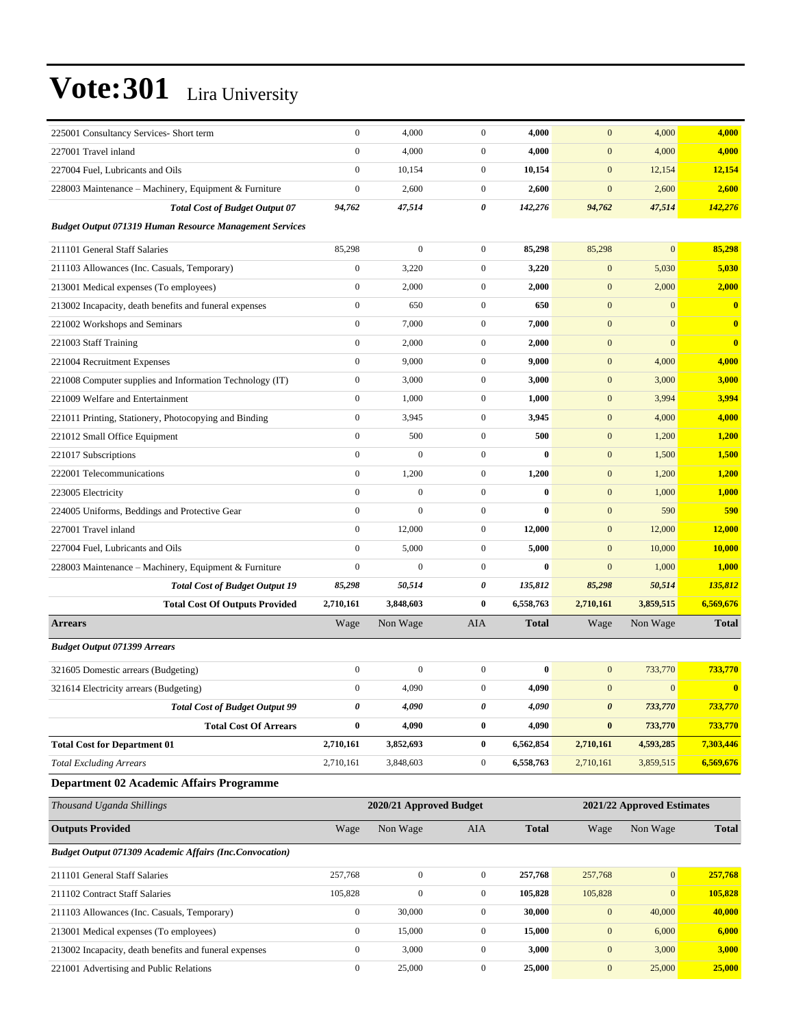| 225001 Consultancy Services- Short term                        | $\boldsymbol{0}$ | 4,000                   | $\boldsymbol{0}$ | 4,000        | $\mathbf{0}$          | 4,000                      | 4,000                   |
|----------------------------------------------------------------|------------------|-------------------------|------------------|--------------|-----------------------|----------------------------|-------------------------|
| 227001 Travel inland                                           | $\boldsymbol{0}$ | 4,000                   | $\overline{0}$   | 4,000        | $\mathbf{0}$          | 4,000                      | 4,000                   |
| 227004 Fuel, Lubricants and Oils                               | $\boldsymbol{0}$ | 10,154                  | $\mathbf{0}$     | 10,154       | $\mathbf{0}$          | 12,154                     | 12,154                  |
| 228003 Maintenance – Machinery, Equipment & Furniture          | $\boldsymbol{0}$ | 2,600                   | $\mathbf{0}$     | 2,600        | $\mathbf{0}$          | 2,600                      | 2,600                   |
| <b>Total Cost of Budget Output 07</b>                          | 94,762           | 47,514                  | 0                | 142,276      | 94,762                | 47,514                     | 142,276                 |
| <b>Budget Output 071319 Human Resource Management Services</b> |                  |                         |                  |              |                       |                            |                         |
| 211101 General Staff Salaries                                  | 85,298           | $\boldsymbol{0}$        | $\overline{0}$   | 85,298       | 85,298                | $\overline{0}$             | 85,298                  |
| 211103 Allowances (Inc. Casuals, Temporary)                    | $\boldsymbol{0}$ | 3,220                   | $\mathbf{0}$     | 3,220        | $\mathbf{0}$          | 5,030                      | 5,030                   |
| 213001 Medical expenses (To employees)                         | $\boldsymbol{0}$ | 2,000                   | $\mathbf{0}$     | 2,000        | $\mathbf{0}$          | 2,000                      | 2,000                   |
| 213002 Incapacity, death benefits and funeral expenses         | $\boldsymbol{0}$ | 650                     | $\boldsymbol{0}$ | 650          | $\mathbf{0}$          | $\mathbf{0}$               | $\bf{0}$                |
| 221002 Workshops and Seminars                                  | $\boldsymbol{0}$ | 7,000                   | $\boldsymbol{0}$ | 7,000        | $\mathbf{0}$          | $\mathbf{0}$               | $\mathbf{0}$            |
| 221003 Staff Training                                          | $\boldsymbol{0}$ | 2,000                   | $\overline{0}$   | 2,000        | $\boldsymbol{0}$      | $\mathbf{0}$               | $\overline{\mathbf{0}}$ |
| 221004 Recruitment Expenses                                    | $\mathbf{0}$     | 9,000                   | $\overline{0}$   | 9,000        | $\mathbf{0}$          | 4,000                      | 4,000                   |
| 221008 Computer supplies and Information Technology (IT)       | $\boldsymbol{0}$ | 3,000                   | $\mathbf{0}$     | 3,000        | $\mathbf{0}$          | 3,000                      | 3,000                   |
| 221009 Welfare and Entertainment                               | $\boldsymbol{0}$ | 1,000                   | $\boldsymbol{0}$ | 1,000        | $\mathbf{0}$          | 3,994                      | 3,994                   |
| 221011 Printing, Stationery, Photocopying and Binding          | $\boldsymbol{0}$ | 3,945                   | $\boldsymbol{0}$ | 3,945        | $\mathbf{0}$          | 4,000                      | 4,000                   |
| 221012 Small Office Equipment                                  | $\boldsymbol{0}$ | 500                     | $\overline{0}$   | 500          | $\boldsymbol{0}$      | 1,200                      | 1,200                   |
| 221017 Subscriptions                                           | $\mathbf{0}$     | $\mathbf{0}$            | $\overline{0}$   | $\bf{0}$     | $\mathbf{0}$          | 1,500                      | 1,500                   |
| 222001 Telecommunications                                      | $\boldsymbol{0}$ | 1,200                   | $\mathbf{0}$     | 1,200        | $\mathbf{0}$          | 1,200                      | 1,200                   |
| 223005 Electricity                                             | $\mathbf{0}$     | $\overline{0}$          | $\boldsymbol{0}$ | $\bf{0}$     | $\mathbf{0}$          | 1,000                      | 1,000                   |
| 224005 Uniforms, Beddings and Protective Gear                  | $\boldsymbol{0}$ | $\boldsymbol{0}$        | $\boldsymbol{0}$ | $\bf{0}$     | $\mathbf{0}$          | 590                        | 590                     |
| 227001 Travel inland                                           | $\boldsymbol{0}$ | 12,000                  | $\overline{0}$   | 12,000       | $\mathbf{0}$          | 12,000                     | 12,000                  |
| 227004 Fuel, Lubricants and Oils                               | $\mathbf{0}$     | 5,000                   | $\mathbf{0}$     | 5,000        | $\mathbf{0}$          | 10,000                     | 10,000                  |
| 228003 Maintenance - Machinery, Equipment & Furniture          | $\mathbf{0}$     | $\mathbf{0}$            | $\mathbf{0}$     | $\bf{0}$     | $\mathbf{0}$          | 1,000                      | 1,000                   |
| <b>Total Cost of Budget Output 19</b>                          | 85,298           | 50,514                  | 0                | 135,812      | 85,298                | 50,514                     | 135,812                 |
| <b>Total Cost Of Outputs Provided</b>                          | 2,710,161        | 3,848,603               | $\bf{0}$         | 6,558,763    | 2,710,161             | 3,859,515                  | 6,569,676               |
| <b>Arrears</b>                                                 | Wage             | Non Wage                | AIA              | <b>Total</b> | Wage                  | Non Wage                   | <b>Total</b>            |
| <b>Budget Output 071399 Arrears</b>                            |                  |                         |                  |              |                       |                            |                         |
| 321605 Domestic arrears (Budgeting)                            | $\boldsymbol{0}$ | $\boldsymbol{0}$        | $\boldsymbol{0}$ | $\bf{0}$     | $\boldsymbol{0}$      | 733,770                    | 733,770                 |
| 321614 Electricity arrears (Budgeting)                         | $\boldsymbol{0}$ | 4,090                   | $\mathbf{0}$     | 4,090        | $\mathbf{0}$          | $\mathbf{0}$               | $\bf{0}$                |
| <b>Total Cost of Budget Output 99</b>                          | $\pmb{\theta}$   | 4,090                   | 0                | 4,090        | $\boldsymbol{\theta}$ | 733,770                    | 733,770                 |
| <b>Total Cost Of Arrears</b>                                   | $\bf{0}$         | 4,090                   | $\bf{0}$         | 4,090        | $\bf{0}$              | 733,770                    | 733,770                 |
| <b>Total Cost for Department 01</b>                            | 2,710,161        | 3,852,693               | $\bf{0}$         | 6,562,854    | 2,710,161             | 4,593,285                  | 7,303,446               |
| <b>Total Excluding Arrears</b>                                 | 2,710,161        | 3,848,603               | $\boldsymbol{0}$ | 6,558,763    | 2,710,161             | 3,859,515                  | 6,569,676               |
| Department 02 Academic Affairs Programme                       |                  |                         |                  |              |                       |                            |                         |
| Thousand Uganda Shillings                                      |                  | 2020/21 Approved Budget |                  |              |                       | 2021/22 Approved Estimates |                         |
|                                                                |                  |                         |                  |              |                       |                            |                         |
| <b>Outputs Provided</b>                                        | Wage             | Non Wage                | AIA              | <b>Total</b> | Wage                  | Non Wage                   | <b>Total</b>            |
| <b>Budget Output 071309 Academic Affairs (Inc.Convocation)</b> |                  |                         |                  |              |                       |                            |                         |
| 211101 General Staff Salaries                                  | 257,768          | $\boldsymbol{0}$        | $\mathbf{0}$     | 257,768      | 257,768               | $\mathbf{0}$               | 257,768                 |
| 211102 Contract Staff Salaries                                 | 105,828          | $\boldsymbol{0}$        | $\boldsymbol{0}$ | 105,828      | 105,828               | $\mathbf{0}$               | 105,828                 |
| 211103 Allowances (Inc. Casuals, Temporary)                    | $\boldsymbol{0}$ | 30,000                  | $\boldsymbol{0}$ | 30,000       | $\boldsymbol{0}$      | 40,000                     | 40,000                  |
| 213001 Medical expenses (To employees)                         | $\boldsymbol{0}$ | 15,000                  | $\boldsymbol{0}$ | 15,000       | $\mathbf{0}$          | 6,000                      | 6,000                   |
| 213002 Incapacity, death benefits and funeral expenses         | $\boldsymbol{0}$ | 3,000                   | $\boldsymbol{0}$ | 3,000        | $\boldsymbol{0}$      | 3,000                      | 3,000                   |

221001 Advertising and Public Relations 0 25,000 0 **25,000** 0 25,000 **25,000**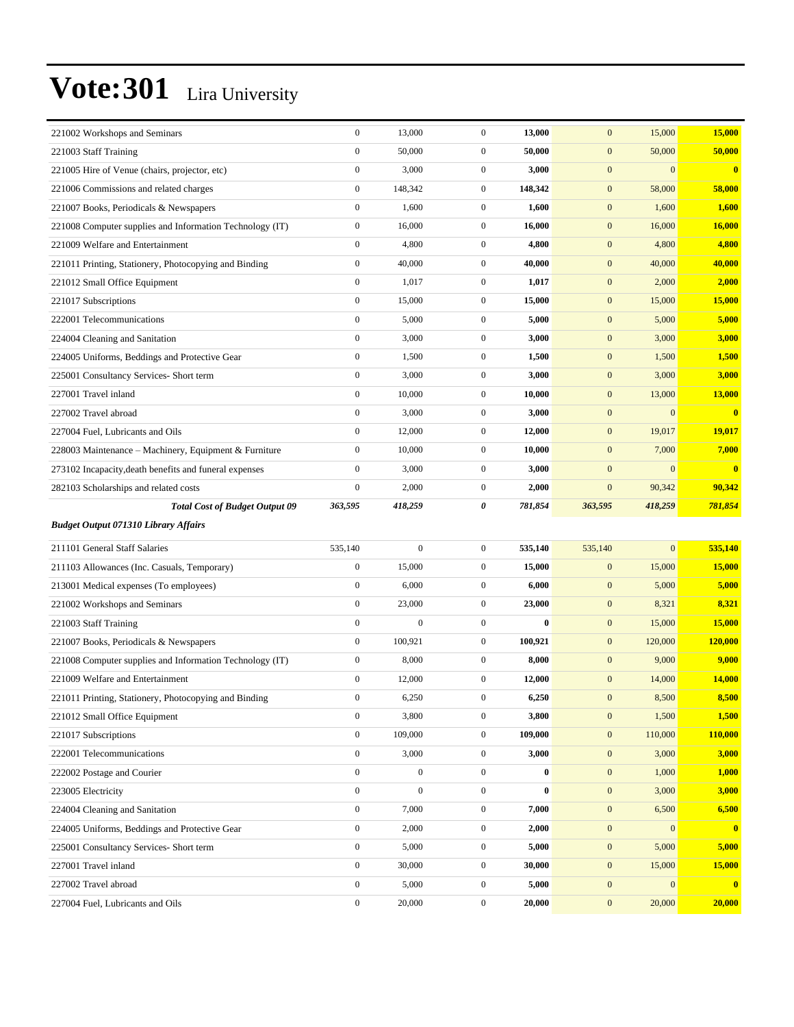| 221002 Workshops and Seminars                            | $\boldsymbol{0}$ | 13,000           | $\boldsymbol{0}$ | 13,000   | $\mathbf{0}$     | 15,000         | 15,000                  |
|----------------------------------------------------------|------------------|------------------|------------------|----------|------------------|----------------|-------------------------|
| 221003 Staff Training                                    | $\mathbf{0}$     | 50,000           | $\overline{0}$   | 50,000   | $\mathbf{0}$     | 50,000         | 50,000                  |
| 221005 Hire of Venue (chairs, projector, etc)            | $\boldsymbol{0}$ | 3,000            | $\mathbf{0}$     | 3,000    | $\mathbf{0}$     | $\mathbf{0}$   | $\overline{\mathbf{0}}$ |
| 221006 Commissions and related charges                   | $\boldsymbol{0}$ | 148,342          | $\overline{0}$   | 148,342  | $\mathbf{0}$     | 58,000         | 58,000                  |
| 221007 Books, Periodicals & Newspapers                   | $\boldsymbol{0}$ | 1,600            | $\overline{0}$   | 1,600    | $\boldsymbol{0}$ | 1,600          | 1,600                   |
| 221008 Computer supplies and Information Technology (IT) | $\boldsymbol{0}$ | 16,000           | $\mathbf{0}$     | 16,000   | $\mathbf{0}$     | 16,000         | 16,000                  |
| 221009 Welfare and Entertainment                         | $\mathbf{0}$     | 4,800            | $\mathbf{0}$     | 4,800    | $\mathbf{0}$     | 4,800          | 4,800                   |
| 221011 Printing, Stationery, Photocopying and Binding    | $\boldsymbol{0}$ | 40,000           | $\mathbf{0}$     | 40,000   | $\mathbf{0}$     | 40,000         | 40,000                  |
| 221012 Small Office Equipment                            | $\boldsymbol{0}$ | 1,017            | $\overline{0}$   | 1,017    | $\mathbf{0}$     | 2,000          | 2,000                   |
| 221017 Subscriptions                                     | $\boldsymbol{0}$ | 15,000           | $\boldsymbol{0}$ | 15,000   | $\boldsymbol{0}$ | 15,000         | 15,000                  |
| 222001 Telecommunications                                | $\boldsymbol{0}$ | 5,000            | $\mathbf{0}$     | 5,000    | $\mathbf{0}$     | 5,000          | 5,000                   |
| 224004 Cleaning and Sanitation                           | $\mathbf{0}$     | 3,000            | $\overline{0}$   | 3,000    | $\mathbf{0}$     | 3,000          | 3,000                   |
| 224005 Uniforms, Beddings and Protective Gear            | $\boldsymbol{0}$ | 1,500            | $\mathbf{0}$     | 1,500    | $\mathbf{0}$     | 1,500          | 1,500                   |
| 225001 Consultancy Services- Short term                  | $\boldsymbol{0}$ | 3,000            | $\overline{0}$   | 3,000    | $\mathbf{0}$     | 3,000          | 3,000                   |
| 227001 Travel inland                                     | $\boldsymbol{0}$ | 10,000           | $\boldsymbol{0}$ | 10,000   | $\boldsymbol{0}$ | 13,000         | 13,000                  |
| 227002 Travel abroad                                     | $\boldsymbol{0}$ | 3,000            | $\mathbf{0}$     | 3,000    | $\mathbf{0}$     | $\mathbf{0}$   | $\bf{0}$                |
| 227004 Fuel, Lubricants and Oils                         | $\mathbf{0}$     | 12,000           | $\overline{0}$   | 12,000   | $\mathbf{0}$     | 19,017         | 19,017                  |
| 228003 Maintenance - Machinery, Equipment & Furniture    | $\boldsymbol{0}$ | 10,000           | $\mathbf{0}$     | 10,000   | $\mathbf{0}$     | 7,000          | 7,000                   |
| 273102 Incapacity, death benefits and funeral expenses   | $\boldsymbol{0}$ | 3,000            | $\overline{0}$   | 3,000    | $\mathbf{0}$     | $\mathbf{0}$   | $\overline{\mathbf{0}}$ |
| 282103 Scholarships and related costs                    | $\boldsymbol{0}$ | 2,000            | $\boldsymbol{0}$ | 2,000    | $\boldsymbol{0}$ | 90,342         | 90,342                  |
| <b>Total Cost of Budget Output 09</b>                    | 363,595          | 418,259          | 0                | 781,854  | 363,595          | 418,259        | 781,854                 |
|                                                          |                  |                  |                  |          |                  |                |                         |
| <b>Budget Output 071310 Library Affairs</b>              |                  |                  |                  |          |                  |                |                         |
| 211101 General Staff Salaries                            | 535,140          | $\overline{0}$   | $\overline{0}$   | 535,140  | 535,140          | $\overline{0}$ | 535,140                 |
| 211103 Allowances (Inc. Casuals, Temporary)              | $\boldsymbol{0}$ | 15,000           | $\mathbf{0}$     | 15,000   | $\mathbf{0}$     | 15,000         | 15,000                  |
| 213001 Medical expenses (To employees)                   | $\boldsymbol{0}$ | 6,000            | $\overline{0}$   | 6,000    | $\mathbf{0}$     | 5,000          | 5,000                   |
| 221002 Workshops and Seminars                            | $\mathbf{0}$     | 23,000           | $\boldsymbol{0}$ | 23,000   | $\boldsymbol{0}$ | 8,321          | 8,321                   |
| 221003 Staff Training                                    | $\boldsymbol{0}$ | $\boldsymbol{0}$ | $\mathbf{0}$     | $\bf{0}$ | $\mathbf{0}$     | 15,000         | 15,000                  |
| 221007 Books, Periodicals & Newspapers                   | $\boldsymbol{0}$ | 100,921          | $\overline{0}$   | 100,921  | $\mathbf{0}$     | 120,000        | <b>120,000</b>          |
| 221008 Computer supplies and Information Technology (IT) | $\boldsymbol{0}$ | 8,000            | $\mathbf{0}$     | 8,000    | $\mathbf{0}$     | 9,000          | 9,000                   |
| 221009 Welfare and Entertainment                         | $\boldsymbol{0}$ | 12,000           | $\mathbf{0}$     | 12,000   | $\mathbf{0}$     | 14,000         | 14,000                  |
| 221011 Printing, Stationery, Photocopying and Binding    | $\mathbf{0}$     | 6,250            | $\overline{0}$   | 6,250    | $\mathbf{0}$     | 8,500          | 8,500                   |
| 221012 Small Office Equipment                            | $\boldsymbol{0}$ | 3,800            | $\mathbf{0}$     | 3,800    | $\mathbf{0}$     | 1,500          | 1,500                   |
| 221017 Subscriptions                                     | $\boldsymbol{0}$ | 109,000          | $\boldsymbol{0}$ | 109,000  | $\boldsymbol{0}$ | 110,000        | 110,000                 |
| 222001 Telecommunications                                | $\boldsymbol{0}$ | 3,000            | $\boldsymbol{0}$ | 3,000    | $\boldsymbol{0}$ | 3,000          | 3,000                   |
| 222002 Postage and Courier                               | $\boldsymbol{0}$ | $\boldsymbol{0}$ | $\boldsymbol{0}$ | $\bf{0}$ | $\boldsymbol{0}$ | 1,000          | 1,000                   |
| 223005 Electricity                                       | $\boldsymbol{0}$ | $\boldsymbol{0}$ | $\boldsymbol{0}$ | $\bf{0}$ | $\boldsymbol{0}$ | 3,000          | 3,000                   |
| 224004 Cleaning and Sanitation                           | $\boldsymbol{0}$ | 7,000            | $\mathbf{0}$     | 7,000    | $\mathbf{0}$     | 6,500          | 6,500                   |
| 224005 Uniforms, Beddings and Protective Gear            | $\boldsymbol{0}$ | 2,000            | $\boldsymbol{0}$ | 2,000    | $\boldsymbol{0}$ | $\mathbf{0}$   | $\mathbf{0}$            |
| 225001 Consultancy Services- Short term                  | $\boldsymbol{0}$ | 5,000            | $\boldsymbol{0}$ | 5,000    | $\boldsymbol{0}$ | 5,000          | 5,000                   |
| 227001 Travel inland                                     | $\boldsymbol{0}$ | 30,000           | $\boldsymbol{0}$ | 30,000   | $\boldsymbol{0}$ | 15,000         | <b>15,000</b>           |
| 227002 Travel abroad                                     | $\boldsymbol{0}$ | 5,000            | $\boldsymbol{0}$ | 5,000    | $\boldsymbol{0}$ | $\mathbf{0}$   | $\overline{\mathbf{0}}$ |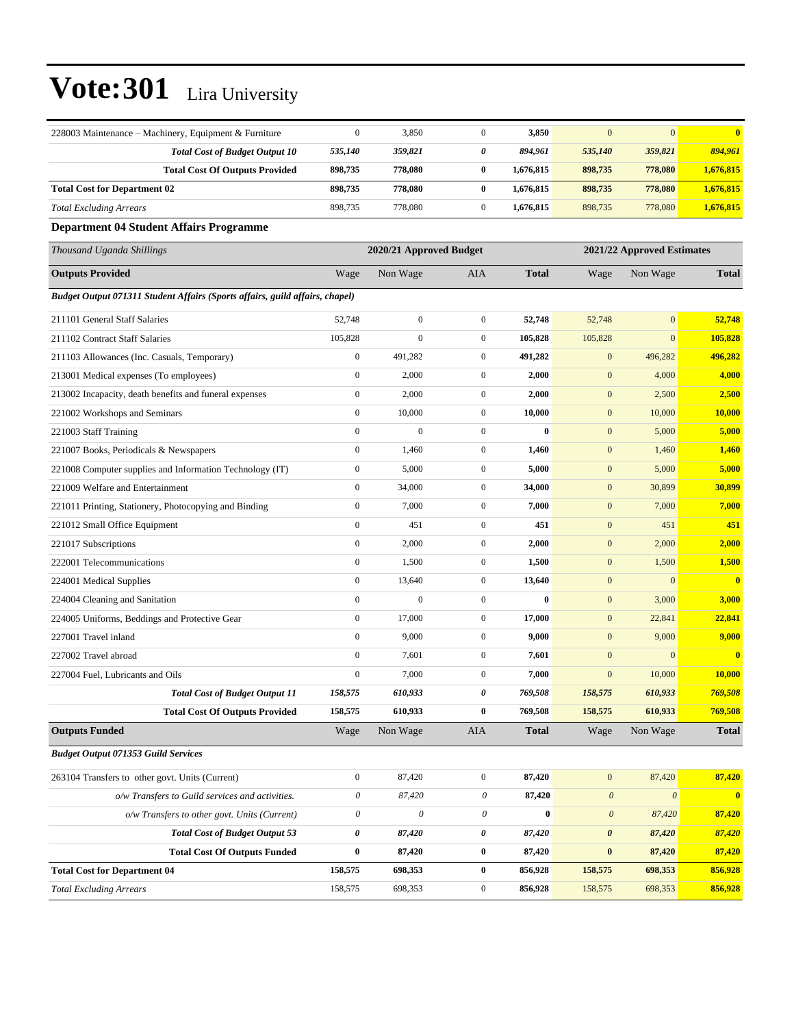| 228003 Maintenance – Machinery, Equipment & Furniture                        | $\boldsymbol{0}$          | 3,850                     | $\boldsymbol{0}$          | 3,850        | $\mathbf{0}$              | $\mathbf{0}$               | $\bf{0}$                |
|------------------------------------------------------------------------------|---------------------------|---------------------------|---------------------------|--------------|---------------------------|----------------------------|-------------------------|
| <b>Total Cost of Budget Output 10</b>                                        | 535,140                   | 359,821                   | 0                         | 894,961      | 535,140                   | 359,821                    | 894,961                 |
| <b>Total Cost Of Outputs Provided</b>                                        | 898,735                   | 778,080                   | $\bf{0}$                  | 1,676,815    | 898,735                   | 778,080                    | 1,676,815               |
| <b>Total Cost for Department 02</b>                                          | 898,735                   | 778,080                   | $\bf{0}$                  | 1,676,815    | 898,735                   | 778,080                    | 1,676,815               |
| <b>Total Excluding Arrears</b>                                               | 898,735                   | 778,080                   | $\mathbf{0}$              | 1,676,815    | 898,735                   | 778,080                    | 1,676,815               |
| <b>Department 04 Student Affairs Programme</b>                               |                           |                           |                           |              |                           |                            |                         |
| Thousand Uganda Shillings                                                    |                           | 2020/21 Approved Budget   |                           |              |                           | 2021/22 Approved Estimates |                         |
| <b>Outputs Provided</b>                                                      | Wage                      | Non Wage                  | <b>AIA</b>                | <b>Total</b> | Wage                      | Non Wage                   | <b>Total</b>            |
| Budget Output 071311 Student Affairs (Sports affairs, guild affairs, chapel) |                           |                           |                           |              |                           |                            |                         |
| 211101 General Staff Salaries                                                | 52,748                    | $\boldsymbol{0}$          | $\mathbf{0}$              | 52,748       | 52,748                    | $\mathbf{0}$               | 52,748                  |
| 211102 Contract Staff Salaries                                               | 105,828                   | $\boldsymbol{0}$          | $\boldsymbol{0}$          | 105,828      | 105,828                   | $\mathbf{0}$               | 105,828                 |
| 211103 Allowances (Inc. Casuals, Temporary)                                  | $\boldsymbol{0}$          | 491,282                   | $\mathbf{0}$              | 491,282      | $\mathbf{0}$              | 496,282                    | 496,282                 |
| 213001 Medical expenses (To employees)                                       | $\boldsymbol{0}$          | 2,000                     | $\mathbf{0}$              | 2,000        | $\boldsymbol{0}$          | 4,000                      | 4,000                   |
| 213002 Incapacity, death benefits and funeral expenses                       | $\boldsymbol{0}$          | 2,000                     | $\mathbf{0}$              | 2,000        | $\mathbf{0}$              | 2,500                      | 2,500                   |
| 221002 Workshops and Seminars                                                | $\boldsymbol{0}$          | 10,000                    | $\overline{0}$            | 10,000       | $\mathbf{0}$              | 10,000                     | 10,000                  |
| 221003 Staff Training                                                        | $\mathbf{0}$              | $\boldsymbol{0}$          | $\overline{0}$            | $\bf{0}$     | $\mathbf{0}$              | 5,000                      | 5,000                   |
| 221007 Books, Periodicals & Newspapers                                       | $\boldsymbol{0}$          | 1,460                     | $\mathbf{0}$              | 1,460        | $\mathbf{0}$              | 1,460                      | 1,460                   |
| 221008 Computer supplies and Information Technology (IT)                     | $\mathbf{0}$              | 5,000                     | $\overline{0}$            | 5,000        | $\mathbf{0}$              | 5,000                      | 5,000                   |
| 221009 Welfare and Entertainment                                             | $\boldsymbol{0}$          | 34,000                    | $\mathbf{0}$              | 34,000       | $\mathbf{0}$              | 30,899                     | 30,899                  |
| 221011 Printing, Stationery, Photocopying and Binding                        | $\boldsymbol{0}$          | 7,000                     | $\overline{0}$            | 7,000        | $\mathbf{0}$              | 7,000                      | 7,000                   |
| 221012 Small Office Equipment                                                | $\mathbf{0}$              | 451                       | $\overline{0}$            | 451          | $\mathbf{0}$              | 451                        | 451                     |
| 221017 Subscriptions                                                         | $\boldsymbol{0}$          | 2,000                     | $\mathbf{0}$              | 2,000        | $\mathbf{0}$              | 2,000                      | 2,000                   |
| 222001 Telecommunications                                                    | $\mathbf{0}$              | 1,500                     | $\overline{0}$            | 1,500        | $\mathbf{0}$              | 1,500                      | 1,500                   |
| 224001 Medical Supplies                                                      | $\boldsymbol{0}$          | 13,640                    | $\mathbf{0}$              | 13,640       | $\mathbf{0}$              | $\mathbf{0}$               | $\overline{\mathbf{0}}$ |
| 224004 Cleaning and Sanitation                                               | $\boldsymbol{0}$          | $\boldsymbol{0}$          | $\overline{0}$            | $\bf{0}$     | $\mathbf{0}$              | 3,000                      | 3,000                   |
| 224005 Uniforms, Beddings and Protective Gear                                | $\mathbf{0}$              | 17,000                    | $\boldsymbol{0}$          | 17,000       | $\mathbf{0}$              | 22,841                     | 22,841                  |
| 227001 Travel inland                                                         | $\boldsymbol{0}$          | 9,000                     | $\mathbf{0}$              | 9,000        | $\mathbf{0}$              | 9,000                      | 9,000                   |
| 227002 Travel abroad                                                         | $\mathbf{0}$              | 7,601                     | $\overline{0}$            | 7,601        | $\mathbf{0}$              | $\overline{0}$             | $\bf{0}$                |
| 227004 Fuel. Lubricants and Oils                                             | $\mathbf{0}$              | 7,000                     | $\mathbf{0}$              | 7,000        | $\mathbf{0}$              | 10,000                     | 10,000                  |
| <b>Total Cost of Budget Output 11</b>                                        | 158,575                   | 610,933                   | 0                         | 769,508      | 158,575                   | 610,933                    | 769,508                 |
| <b>Total Cost Of Outputs Provided</b>                                        | 158,575                   | 610,933                   | $\bf{0}$                  | 769,508      | 158,575                   | 610,933                    | 769,508                 |
| <b>Outputs Funded</b>                                                        | Wage                      | Non Wage                  | <b>AIA</b>                | <b>Total</b> | Wage                      | Non Wage                   | <b>Total</b>            |
| <b>Budget Output 071353 Guild Services</b>                                   |                           |                           |                           |              |                           |                            |                         |
| 263104 Transfers to other govt. Units (Current)                              | $\mathbf{0}$              | 87,420                    | $\boldsymbol{0}$          | 87,420       | $\mathbf{0}$              | 87,420                     | 87,420                  |
| o/w Transfers to Guild services and activities.                              | $\boldsymbol{\mathit{0}}$ | 87,420                    | $\boldsymbol{\mathit{0}}$ | 87,420       | $\boldsymbol{\theta}$     | $\boldsymbol{\mathit{0}}$  | $\mathbf{0}$            |
| o/w Transfers to other govt. Units (Current)                                 | $\boldsymbol{\mathit{0}}$ | $\boldsymbol{\mathit{0}}$ | $\theta$                  | $\bf{0}$     | $\boldsymbol{\mathit{0}}$ | 87,420                     | 87,420                  |
| <b>Total Cost of Budget Output 53</b>                                        | $\pmb{\theta}$            | 87,420                    | 0                         | 87,420       | $\boldsymbol{\theta}$     | 87,420                     | 87,420                  |
| <b>Total Cost Of Outputs Funded</b>                                          | $\bf{0}$                  | 87,420                    | $\bf{0}$                  | 87,420       | $\bf{0}$                  | 87,420                     | 87,420                  |
| <b>Total Cost for Department 04</b>                                          | 158,575                   | 698,353                   | $\bf{0}$                  | 856,928      | 158,575                   | 698,353                    | 856,928                 |
| <b>Total Excluding Arrears</b>                                               | 158,575                   | 698,353                   | $\boldsymbol{0}$          | 856,928      | 158,575                   | 698,353                    | 856,928                 |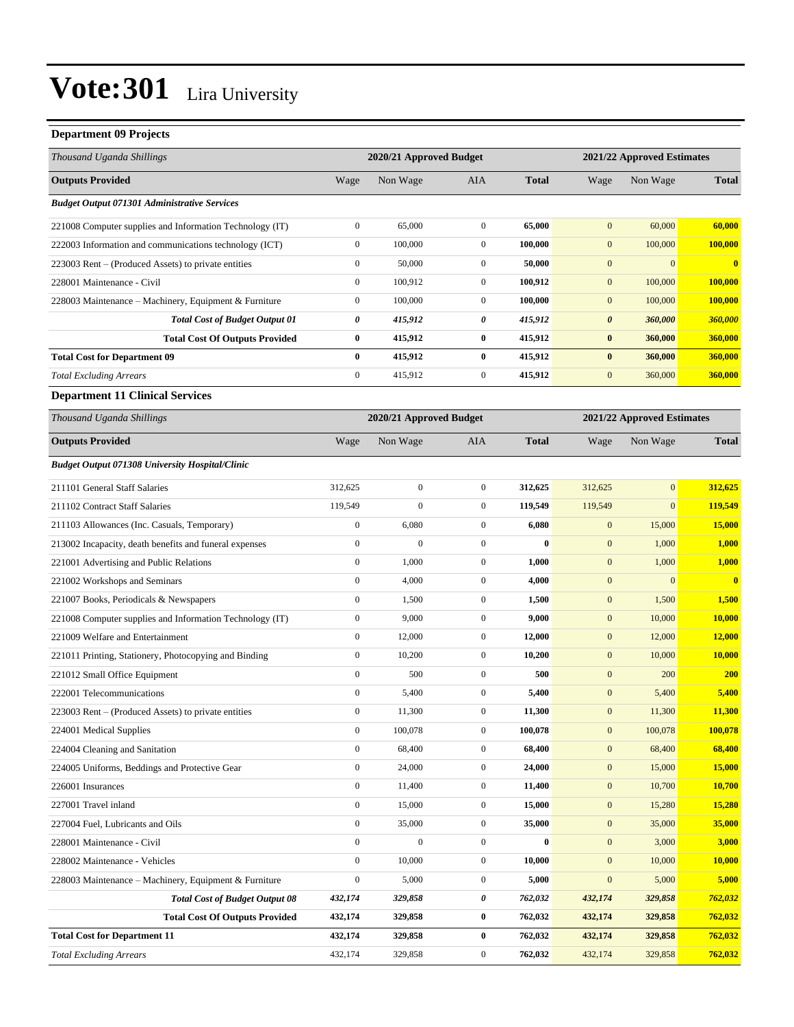#### **Department 09 Projects**

| Thousand Uganda Shillings                                |                  | 2020/21 Approved Budget |                  |              | 2021/22 Approved Estimates |                            |               |
|----------------------------------------------------------|------------------|-------------------------|------------------|--------------|----------------------------|----------------------------|---------------|
| <b>Outputs Provided</b>                                  | Wage             | Non Wage                | AIA              | <b>Total</b> | Wage                       | Non Wage                   | <b>Total</b>  |
| <b>Budget Output 071301 Administrative Services</b>      |                  |                         |                  |              |                            |                            |               |
| 221008 Computer supplies and Information Technology (IT) | $\boldsymbol{0}$ | 65,000                  | $\mathbf{0}$     | 65,000       | $\overline{0}$             | 60,000                     | 60,000        |
| 222003 Information and communications technology (ICT)   | $\boldsymbol{0}$ | 100,000                 | $\mathbf{0}$     | 100,000      | $\boldsymbol{0}$           | 100,000                    | 100,000       |
| 223003 Rent – (Produced Assets) to private entities      | $\boldsymbol{0}$ | 50,000                  | $\mathbf{0}$     | 50,000       | $\mathbf{0}$               | $\boldsymbol{0}$           | $\mathbf{0}$  |
| 228001 Maintenance - Civil                               | $\boldsymbol{0}$ | 100,912                 | $\mathbf{0}$     | 100,912      | $\mathbf{0}$               | 100,000                    | 100,000       |
| 228003 Maintenance - Machinery, Equipment & Furniture    | $\boldsymbol{0}$ | 100,000                 | $\mathbf{0}$     | 100,000      | $\mathbf{0}$               | 100,000                    | 100,000       |
| <b>Total Cost of Budget Output 01</b>                    | 0                | 415,912                 | 0                | 415,912      | $\pmb{\theta}$             | 360,000                    | 360,000       |
| <b>Total Cost Of Outputs Provided</b>                    | $\bf{0}$         | 415,912                 | $\bf{0}$         | 415,912      | $\bf{0}$                   | 360,000                    | 360,000       |
| <b>Total Cost for Department 09</b>                      | 0                | 415,912                 | $\bf{0}$         | 415,912      | $\bf{0}$                   | 360,000                    | 360,000       |
| <b>Total Excluding Arrears</b>                           | $\boldsymbol{0}$ | 415,912                 | $\mathbf{0}$     | 415,912      | $\mathbf{0}$               | 360,000                    | 360,000       |
| <b>Department 11 Clinical Services</b>                   |                  |                         |                  |              |                            |                            |               |
| Thousand Uganda Shillings                                |                  | 2020/21 Approved Budget |                  |              |                            | 2021/22 Approved Estimates |               |
| <b>Outputs Provided</b>                                  | Wage             | Non Wage                | AIA              | <b>Total</b> | Wage                       | Non Wage                   | <b>Total</b>  |
| <b>Budget Output 071308 University Hospital/Clinic</b>   |                  |                         |                  |              |                            |                            |               |
| 211101 General Staff Salaries                            | 312,625          | $\boldsymbol{0}$        | $\mathbf{0}$     | 312,625      | 312,625                    | $\boldsymbol{0}$           | 312,625       |
| 211102 Contract Staff Salaries                           | 119,549          | $\mathbf{0}$            | $\mathbf{0}$     | 119,549      | 119,549                    | $\mathbf{0}$               | 119,549       |
| 211103 Allowances (Inc. Casuals, Temporary)              | $\boldsymbol{0}$ | 6,080                   | $\mathbf{0}$     | 6,080        | $\boldsymbol{0}$           | 15,000                     | <b>15,000</b> |
| 213002 Incapacity, death benefits and funeral expenses   | $\boldsymbol{0}$ | $\boldsymbol{0}$        | $\mathbf{0}$     | $\bf{0}$     | $\mathbf{0}$               | 1,000                      | 1,000         |
| 221001 Advertising and Public Relations                  | $\boldsymbol{0}$ | 1,000                   | $\mathbf{0}$     | 1,000        | $\mathbf{0}$               | 1,000                      | 1,000         |
| 221002 Workshops and Seminars                            | $\boldsymbol{0}$ | 4,000                   | $\mathbf{0}$     | 4,000        | $\mathbf{0}$               | $\mathbf{0}$               | $\bf{0}$      |
| 221007 Books, Periodicals & Newspapers                   | $\boldsymbol{0}$ | 1,500                   | $\mathbf{0}$     | 1,500        | $\mathbf{0}$               | 1,500                      | 1,500         |
| 221008 Computer supplies and Information Technology (IT) | $\boldsymbol{0}$ | 9,000                   | $\mathbf{0}$     | 9,000        | $\mathbf{0}$               | 10,000                     | <b>10,000</b> |
| 221009 Welfare and Entertainment                         | $\boldsymbol{0}$ | 12,000                  | $\mathbf{0}$     | 12,000       | $\mathbf{0}$               | 12,000                     | 12,000        |
| 221011 Printing, Stationery, Photocopying and Binding    | $\boldsymbol{0}$ | 10,200                  | $\mathbf{0}$     | 10,200       | $\mathbf{0}$               | 10,000                     | 10,000        |
| 221012 Small Office Equipment                            | $\boldsymbol{0}$ | 500                     | $\mathbf{0}$     | 500          | $\mathbf{0}$               | 200                        | <b>200</b>    |
| 222001 Telecommunications                                | $\boldsymbol{0}$ | 5,400                   | $\mathbf{0}$     | 5,400        | $\mathbf{0}$               | 5,400                      | 5,400         |
| 223003 Rent – (Produced Assets) to private entities      | $\boldsymbol{0}$ | 11,300                  | $\mathbf{0}$     | 11,300       | $\boldsymbol{0}$           | 11,300                     | 11,300        |
| 224001 Medical Supplies                                  | $\mathbf{0}$     | 100,078                 | $\mathbf{0}$     | 100,078      | $\mathbf{0}$               | 100,078                    | 100.078       |
| 224004 Cleaning and Sanitation                           | $\boldsymbol{0}$ | 68,400                  | $\boldsymbol{0}$ | 68,400       | $\boldsymbol{0}$           | 68,400                     | 68,400        |
| 224005 Uniforms, Beddings and Protective Gear            | $\boldsymbol{0}$ | 24,000                  | $\boldsymbol{0}$ | 24,000       | $\boldsymbol{0}$           | 15,000                     | 15,000        |
| 226001 Insurances                                        | $\boldsymbol{0}$ | 11,400                  | $\boldsymbol{0}$ | 11,400       | $\mathbf{0}$               | 10,700                     | 10,700        |
| 227001 Travel inland                                     | $\boldsymbol{0}$ | 15,000                  | $\boldsymbol{0}$ | 15,000       | $\boldsymbol{0}$           | 15,280                     | 15,280        |
| 227004 Fuel, Lubricants and Oils                         | $\boldsymbol{0}$ | 35,000                  | $\boldsymbol{0}$ | 35,000       | $\boldsymbol{0}$           | 35,000                     | 35,000        |
| 228001 Maintenance - Civil                               | $\boldsymbol{0}$ | $\boldsymbol{0}$        | $\boldsymbol{0}$ | $\bf{0}$     | $\mathbf{0}$               | 3,000                      | 3,000         |
| 228002 Maintenance - Vehicles                            | $\boldsymbol{0}$ | 10,000                  | $\boldsymbol{0}$ | 10,000       | $\boldsymbol{0}$           | 10,000                     | <b>10,000</b> |
| 228003 Maintenance – Machinery, Equipment & Furniture    | $\boldsymbol{0}$ | 5,000                   | $\boldsymbol{0}$ | 5,000        | $\boldsymbol{0}$           | 5,000                      | 5,000         |
| <b>Total Cost of Budget Output 08</b>                    | 432,174          | 329,858                 | $\pmb{\theta}$   | 762,032      | 432,174                    | 329,858                    | 762,032       |
| <b>Total Cost Of Outputs Provided</b>                    | 432,174          | 329,858                 | $\bf{0}$         | 762,032      | 432,174                    | 329,858                    | 762,032       |
| <b>Total Cost for Department 11</b>                      | 432,174          | 329,858                 | $\bf{0}$         | 762,032      | 432,174                    | 329,858                    | 762,032       |
| <b>Total Excluding Arrears</b>                           | 432,174          | 329,858                 | $\boldsymbol{0}$ | 762,032      | 432,174                    | 329,858                    | 762,032       |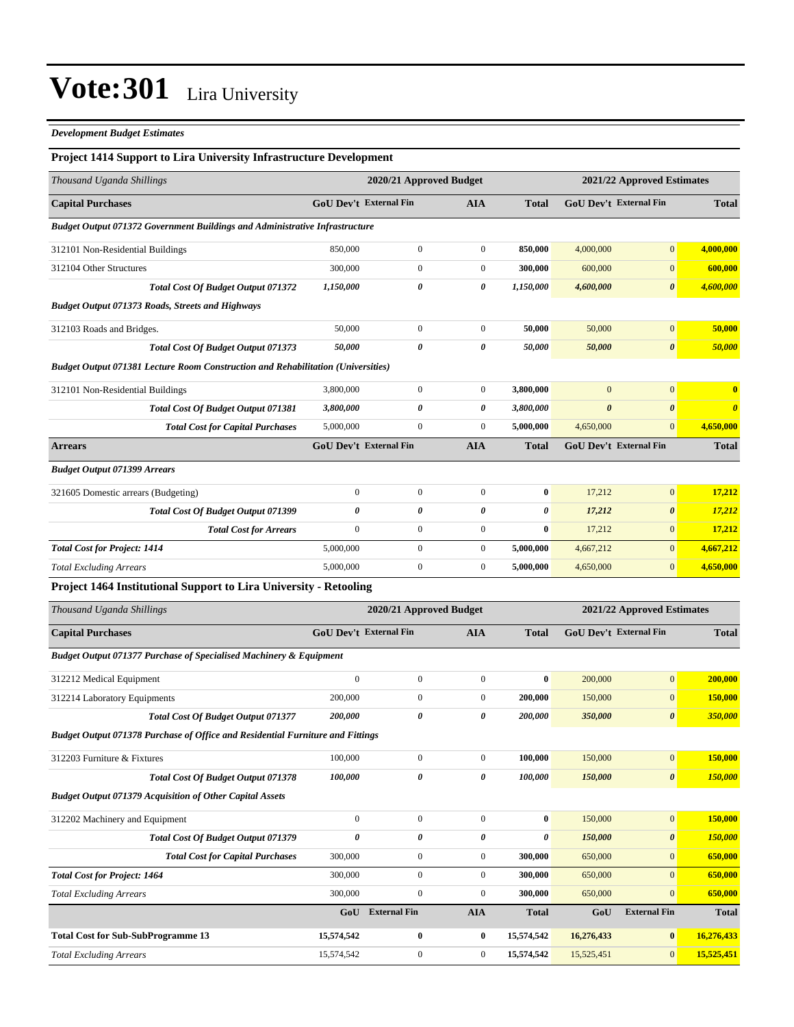#### *Development Budget Estimates*

### **Project 1414 Support to Lira University Infrastructure Development**

| Thousand Uganda Shillings                                                               |                  | 2020/21 Approved Budget       |                  |              |                       | 2021/22 Approved Estimates    |                         |  |
|-----------------------------------------------------------------------------------------|------------------|-------------------------------|------------------|--------------|-----------------------|-------------------------------|-------------------------|--|
| <b>Capital Purchases</b>                                                                |                  | <b>GoU Dev't External Fin</b> | <b>AIA</b>       | <b>Total</b> |                       | <b>GoU Dev't External Fin</b> | <b>Total</b>            |  |
| <b>Budget Output 071372 Government Buildings and Administrative Infrastructure</b>      |                  |                               |                  |              |                       |                               |                         |  |
| 312101 Non-Residential Buildings                                                        | 850,000          | $\mathbf{0}$                  | $\boldsymbol{0}$ | 850,000      | 4,000,000             | $\mathbf{0}$                  | 4,000,000               |  |
| 312104 Other Structures                                                                 | 300,000          | $\mathbf{0}$                  | $\boldsymbol{0}$ | 300,000      | 600,000               | $\mathbf{0}$                  | 600,000                 |  |
| Total Cost Of Budget Output 071372                                                      | 1,150,000        | 0                             | 0                | 1,150,000    | 4,600,000             | $\boldsymbol{\theta}$         | 4,600,000               |  |
| <b>Budget Output 071373 Roads, Streets and Highways</b>                                 |                  |                               |                  |              |                       |                               |                         |  |
| 312103 Roads and Bridges.                                                               | 50,000           | $\mathbf{0}$                  | $\boldsymbol{0}$ | 50,000       | 50,000                | $\boldsymbol{0}$              | 50,000                  |  |
| Total Cost Of Budget Output 071373                                                      | 50,000           | 0                             | 0                | 50,000       | 50,000                | $\pmb{\theta}$                | 50,000                  |  |
| <b>Budget Output 071381 Lecture Room Construction and Rehabilitation (Universities)</b> |                  |                               |                  |              |                       |                               |                         |  |
| 312101 Non-Residential Buildings                                                        | 3,800,000        | $\mathbf{0}$                  | $\boldsymbol{0}$ | 3,800,000    | $\mathbf{0}$          | $\mathbf{0}$                  | $\overline{\mathbf{0}}$ |  |
| Total Cost Of Budget Output 071381                                                      | 3,800,000        | 0                             | 0                | 3,800,000    | $\boldsymbol{\theta}$ | 0                             | $\boldsymbol{\theta}$   |  |
| <b>Total Cost for Capital Purchases</b>                                                 | 5,000,000        | $\mathbf{0}$                  | $\boldsymbol{0}$ | 5,000,000    | 4,650,000             | $\mathbf{0}$                  | 4,650,000               |  |
| <b>Arrears</b>                                                                          |                  | <b>GoU Dev't External Fin</b> | <b>AIA</b>       | <b>Total</b> |                       | GoU Dev't External Fin        | <b>Total</b>            |  |
| <b>Budget Output 071399 Arrears</b>                                                     |                  |                               |                  |              |                       |                               |                         |  |
| 321605 Domestic arrears (Budgeting)                                                     | $\boldsymbol{0}$ | $\boldsymbol{0}$              | $\boldsymbol{0}$ | $\bf{0}$     | 17,212                | $\mathbf{0}$                  | 17,212                  |  |
| <b>Total Cost Of Budget Output 071399</b>                                               | 0                | 0                             | 0                | 0            | 17,212                | $\boldsymbol{\theta}$         | 17,212                  |  |
| <b>Total Cost for Arrears</b>                                                           | $\boldsymbol{0}$ | $\boldsymbol{0}$              | $\boldsymbol{0}$ | $\bf{0}$     | 17,212                | $\boldsymbol{0}$              | 17,212                  |  |
| <b>Total Cost for Project: 1414</b>                                                     | 5,000,000        | $\mathbf{0}$                  | $\boldsymbol{0}$ | 5,000,000    | 4,667,212             | $\overline{0}$                | 4,667,212               |  |
| <b>Total Excluding Arrears</b>                                                          | 5,000,000        | $\mathbf{0}$                  | $\boldsymbol{0}$ | 5,000,000    | 4,650,000             | $\mathbf{0}$                  | 4,650,000               |  |
| Project 1464 Institutional Support to Lira University - Retooling                       |                  |                               |                  |              |                       |                               |                         |  |
| Thousand Uganda Shillings                                                               |                  | 2020/21 Approved Budget       |                  |              |                       | 2021/22 Approved Estimates    |                         |  |
| <b>Capital Purchases</b>                                                                |                  | GoU Dev't External Fin        | <b>AIA</b>       | <b>Total</b> |                       | <b>GoU Dev't External Fin</b> | <b>Total</b>            |  |
| Budget Output 071377 Purchase of Specialised Machinery & Equipment                      |                  |                               |                  |              |                       |                               |                         |  |
| 312212 Medical Equipment                                                                | $\mathbf{0}$     | $\boldsymbol{0}$              | $\boldsymbol{0}$ | $\bf{0}$     | 200,000               | $\mathbf{0}$                  | 200,000                 |  |
| 312214 Laboratory Equipments                                                            | 200,000          | $\mathbf{0}$                  | $\boldsymbol{0}$ | 200,000      | 150,000               | $\mathbf{0}$                  | 150,000                 |  |
| Total Cost Of Budget Output 071377                                                      | 200,000          | $\pmb{\theta}$                | 0                | 200,000      | 350,000               | $\boldsymbol{\theta}$         | 350,000                 |  |
| Budget Output 071378 Purchase of Office and Residential Furniture and Fittings          |                  |                               |                  |              |                       |                               |                         |  |
| 312203 Furniture & Fixtures                                                             | 100,000          | $\boldsymbol{0}$              | $\boldsymbol{0}$ | 100,000      | 150,000               | $\mathbf{0}$                  | <b>150,000</b>          |  |
| Total Cost Of Budget Output 071378                                                      | 100,000          | 0                             | 0                | 100,000      | 150,000               | $\boldsymbol{\theta}$         | 150,000                 |  |
| <b>Budget Output 071379 Acquisition of Other Capital Assets</b>                         |                  |                               |                  |              |                       |                               |                         |  |
| 312202 Machinery and Equipment                                                          | $\overline{0}$   | $\boldsymbol{0}$              | $\boldsymbol{0}$ | $\bf{0}$     | 150,000               | $\mathbf{0}$                  | 150,000                 |  |
| Total Cost Of Budget Output 071379                                                      | 0                | $\pmb{\theta}$                | 0                | 0            | 150,000               | $\pmb{\theta}$                | <b>150,000</b>          |  |
| <b>Total Cost for Capital Purchases</b>                                                 | 300,000          | $\boldsymbol{0}$              | $\mathbf{0}$     | 300,000      | 650,000               | $\mathbf{0}$                  | 650,000                 |  |
| <b>Total Cost for Project: 1464</b>                                                     | 300,000          | $\boldsymbol{0}$              | $\boldsymbol{0}$ | 300,000      | 650,000               | $\overline{0}$                | 650,000                 |  |
| <b>Total Excluding Arrears</b>                                                          | 300,000          | $\boldsymbol{0}$              | $\boldsymbol{0}$ | 300,000      | 650,000               | $\boldsymbol{0}$              | 650,000                 |  |
|                                                                                         | GoU              | <b>External Fin</b>           | <b>AIA</b>       | <b>Total</b> | GoU                   | <b>External Fin</b>           | Total                   |  |
| <b>Total Cost for Sub-SubProgramme 13</b>                                               | 15,574,542       | $\boldsymbol{0}$              | $\bf{0}$         | 15,574,542   | 16,276,433            | $\bf{0}$                      | 16,276,433              |  |
| <b>Total Excluding Arrears</b>                                                          | 15,574,542       | $\boldsymbol{0}$              | $\boldsymbol{0}$ | 15,574,542   | 15,525,451            | $\mathbf{0}$                  | 15,525,451              |  |
|                                                                                         |                  |                               |                  |              |                       |                               |                         |  |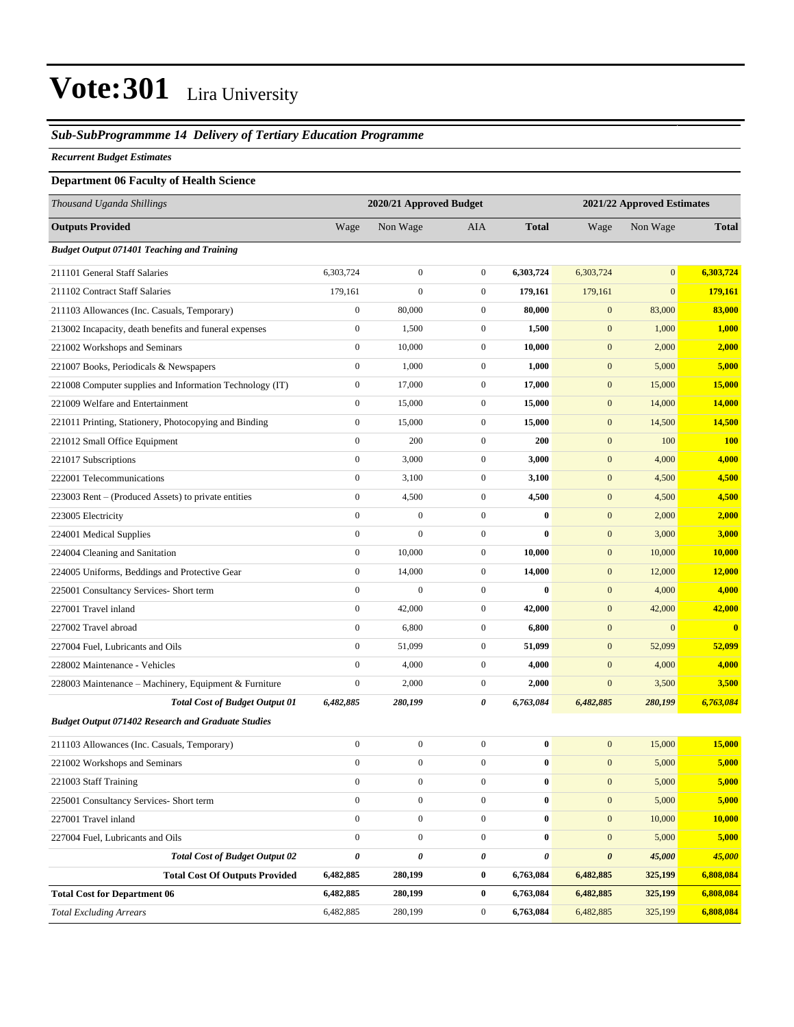#### *Sub-SubProgrammme 14 Delivery of Tertiary Education Programme*

#### *Recurrent Budget Estimates*

| <b>Department 06 Faculty of Health Science</b>            |                  |                         |                  |              |                  |                            |              |  |
|-----------------------------------------------------------|------------------|-------------------------|------------------|--------------|------------------|----------------------------|--------------|--|
| Thousand Uganda Shillings                                 |                  | 2020/21 Approved Budget |                  |              |                  | 2021/22 Approved Estimates |              |  |
| <b>Outputs Provided</b>                                   | Wage             | Non Wage                | <b>AIA</b>       | <b>Total</b> | Wage             | Non Wage                   | <b>Total</b> |  |
| <b>Budget Output 071401 Teaching and Training</b>         |                  |                         |                  |              |                  |                            |              |  |
| 211101 General Staff Salaries                             | 6,303,724        | $\boldsymbol{0}$        | $\mathbf{0}$     | 6,303,724    | 6,303,724        | $\vert 0 \vert$            | 6,303,724    |  |
| 211102 Contract Staff Salaries                            | 179,161          | $\boldsymbol{0}$        | $\overline{0}$   | 179,161      | 179,161          | $\overline{0}$             | 179,161      |  |
| 211103 Allowances (Inc. Casuals, Temporary)               | $\boldsymbol{0}$ | 80,000                  | $\overline{0}$   | 80,000       | $\boldsymbol{0}$ | 83,000                     | 83,000       |  |
| 213002 Incapacity, death benefits and funeral expenses    | $\boldsymbol{0}$ | 1,500                   | $\mathbf{0}$     | 1,500        | $\mathbf{0}$     | 1,000                      | 1,000        |  |
| 221002 Workshops and Seminars                             | $\boldsymbol{0}$ | 10,000                  | $\mathbf{0}$     | 10,000       | $\mathbf{0}$     | 2,000                      | 2,000        |  |
| 221007 Books, Periodicals & Newspapers                    | $\boldsymbol{0}$ | 1,000                   | $\mathbf{0}$     | 1,000        | $\boldsymbol{0}$ | 5,000                      | 5,000        |  |
| 221008 Computer supplies and Information Technology (IT)  | $\boldsymbol{0}$ | 17,000                  | $\overline{0}$   | 17,000       | $\boldsymbol{0}$ | 15,000                     | 15,000       |  |
| 221009 Welfare and Entertainment                          | $\boldsymbol{0}$ | 15,000                  | $\overline{0}$   | 15,000       | $\boldsymbol{0}$ | 14,000                     | 14,000       |  |
| 221011 Printing, Stationery, Photocopying and Binding     | $\boldsymbol{0}$ | 15,000                  | $\mathbf{0}$     | 15,000       | $\mathbf{0}$     | 14,500                     | 14,500       |  |
| 221012 Small Office Equipment                             | $\boldsymbol{0}$ | 200                     | $\mathbf{0}$     | 200          | $\mathbf{0}$     | 100                        | <b>100</b>   |  |
| 221017 Subscriptions                                      | $\boldsymbol{0}$ | 3,000                   | $\mathbf{0}$     | 3,000        | $\boldsymbol{0}$ | 4,000                      | 4,000        |  |
| 222001 Telecommunications                                 | $\boldsymbol{0}$ | 3,100                   | $\overline{0}$   | 3,100        | $\mathbf{0}$     | 4,500                      | 4,500        |  |
| 223003 Rent – (Produced Assets) to private entities       | $\boldsymbol{0}$ | 4,500                   | $\overline{0}$   | 4,500        | $\boldsymbol{0}$ | 4,500                      | 4,500        |  |
| 223005 Electricity                                        | $\boldsymbol{0}$ | $\boldsymbol{0}$        | $\mathbf{0}$     | $\bf{0}$     | $\mathbf{0}$     | 2,000                      | 2,000        |  |
| 224001 Medical Supplies                                   | $\boldsymbol{0}$ | $\boldsymbol{0}$        | $\overline{0}$   | $\bf{0}$     | $\mathbf{0}$     | 3,000                      | 3,000        |  |
| 224004 Cleaning and Sanitation                            | $\boldsymbol{0}$ | 10,000                  | $\boldsymbol{0}$ | 10,000       | $\boldsymbol{0}$ | 10,000                     | 10,000       |  |
| 224005 Uniforms, Beddings and Protective Gear             | $\boldsymbol{0}$ | 14,000                  | $\overline{0}$   | 14,000       | $\mathbf{0}$     | 12,000                     | 12,000       |  |
| 225001 Consultancy Services- Short term                   | $\boldsymbol{0}$ | $\overline{0}$          | $\overline{0}$   | $\mathbf{0}$ | $\boldsymbol{0}$ | 4,000                      | 4,000        |  |
| 227001 Travel inland                                      | $\overline{0}$   | 42,000                  | $\mathbf{0}$     | 42,000       | $\mathbf{0}$     | 42,000                     | 42,000       |  |
| 227002 Travel abroad                                      | $\boldsymbol{0}$ | 6,800                   | $\mathbf{0}$     | 6,800        | $\mathbf{0}$     | $\boldsymbol{0}$           | $\bf{0}$     |  |
| 227004 Fuel, Lubricants and Oils                          | $\boldsymbol{0}$ | 51,099                  | $\mathbf{0}$     | 51,099       | $\boldsymbol{0}$ | 52,099                     | 52,099       |  |
| 228002 Maintenance - Vehicles                             | $\boldsymbol{0}$ | 4,000                   | $\overline{0}$   | 4,000        | $\mathbf{0}$     | 4,000                      | 4,000        |  |
| 228003 Maintenance – Machinery, Equipment & Furniture     | $\boldsymbol{0}$ | 2,000                   | $\overline{0}$   | 2,000        | $\mathbf{0}$     | 3,500                      | 3,500        |  |
| <b>Total Cost of Budget Output 01</b>                     | 6,482,885        | 280,199                 | 0                | 6,763,084    | 6,482,885        | 280,199                    | 6,763,084    |  |
| <b>Budget Output 071402 Research and Graduate Studies</b> |                  |                         |                  |              |                  |                            |              |  |
| 211103 Allowances (Inc. Casuals, Temporary)               | $\boldsymbol{0}$ | $\boldsymbol{0}$        | $\mathbf{0}$     | $\bf{0}$     | $\mathbf{0}$     | 15,000                     | 15,000       |  |
| 221002 Workshops and Seminars                             | $\boldsymbol{0}$ | $\boldsymbol{0}$        | $\boldsymbol{0}$ | $\pmb{0}$    | $\boldsymbol{0}$ | 5,000                      | 5,000        |  |
| 221003 Staff Training                                     | $\boldsymbol{0}$ | $\boldsymbol{0}$        | $\overline{0}$   | $\bf{0}$     | $\boldsymbol{0}$ | 5,000                      | 5,000        |  |
| 225001 Consultancy Services- Short term                   | $\boldsymbol{0}$ | $\boldsymbol{0}$        | $\overline{0}$   | $\pmb{0}$    | $\mathbf{0}$     | 5,000                      | 5,000        |  |
| 227001 Travel inland                                      | $\overline{0}$   | $\boldsymbol{0}$        | $\overline{0}$   | $\bf{0}$     | $\mathbf{0}$     | 10,000                     | 10,000       |  |
| 227004 Fuel, Lubricants and Oils                          | $\boldsymbol{0}$ | $\boldsymbol{0}$        | $\boldsymbol{0}$ | $\bf{0}$     | $\mathbf{0}$     | 5,000                      | 5,000        |  |
| <b>Total Cost of Budget Output 02</b>                     | $\pmb{\theta}$   | 0                       | 0                | 0            | $\pmb{\theta}$   | 45,000                     | 45,000       |  |
| <b>Total Cost Of Outputs Provided</b>                     | 6,482,885        | 280,199                 | $\bf{0}$         | 6,763,084    | 6,482,885        | 325,199                    | 6,808,084    |  |
| <b>Total Cost for Department 06</b>                       | 6,482,885        | 280,199                 | $\bf{0}$         | 6,763,084    | 6,482,885        | 325,199                    | 6,808,084    |  |
| <b>Total Excluding Arrears</b>                            | 6,482,885        | 280,199                 | $\overline{0}$   | 6,763,084    | 6,482,885        | 325,199                    | 6,808,084    |  |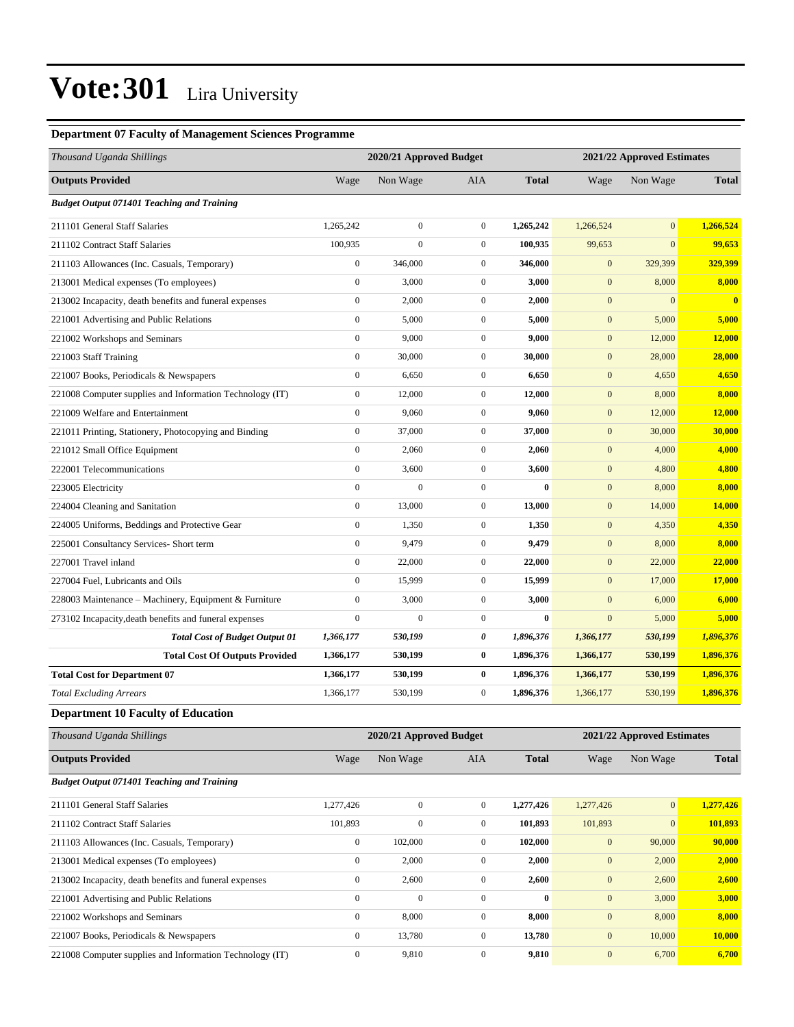#### **Department 07 Faculty of Management Sciences Programme**

| Thousand Uganda Shillings                                |                  | 2020/21 Approved Budget |                  | 2021/22 Approved Estimates |                  |                            |                         |
|----------------------------------------------------------|------------------|-------------------------|------------------|----------------------------|------------------|----------------------------|-------------------------|
| <b>Outputs Provided</b>                                  | Wage             | Non Wage                | <b>AIA</b>       | <b>Total</b>               | Wage             | Non Wage                   | <b>Total</b>            |
| <b>Budget Output 071401 Teaching and Training</b>        |                  |                         |                  |                            |                  |                            |                         |
| 211101 General Staff Salaries                            | 1,265,242        | $\boldsymbol{0}$        | $\mathbf{0}$     | 1,265,242                  | 1,266,524        | $\mathbf{0}$               | 1,266,524               |
| 211102 Contract Staff Salaries                           | 100,935          | $\boldsymbol{0}$        | $\boldsymbol{0}$ | 100,935                    | 99,653           | $\mathbf{0}$               | 99,653                  |
| 211103 Allowances (Inc. Casuals, Temporary)              | $\boldsymbol{0}$ | 346,000                 | $\boldsymbol{0}$ | 346,000                    | $\mathbf{0}$     | 329,399                    | 329,399                 |
| 213001 Medical expenses (To employees)                   | $\boldsymbol{0}$ | 3,000                   | $\boldsymbol{0}$ | 3,000                      | $\mathbf{0}$     | 8,000                      | 8,000                   |
| 213002 Incapacity, death benefits and funeral expenses   | $\boldsymbol{0}$ | 2,000                   | $\boldsymbol{0}$ | 2,000                      | $\mathbf{0}$     | $\mathbf{0}$               | $\overline{\mathbf{0}}$ |
| 221001 Advertising and Public Relations                  | $\boldsymbol{0}$ | 5,000                   | $\boldsymbol{0}$ | 5,000                      | $\mathbf{0}$     | 5,000                      | 5,000                   |
| 221002 Workshops and Seminars                            | $\boldsymbol{0}$ | 9,000                   | $\boldsymbol{0}$ | 9,000                      | $\mathbf{0}$     | 12,000                     | 12,000                  |
| 221003 Staff Training                                    | $\boldsymbol{0}$ | 30,000                  | $\boldsymbol{0}$ | 30,000                     | $\mathbf{0}$     | 28,000                     | 28,000                  |
| 221007 Books, Periodicals & Newspapers                   | $\boldsymbol{0}$ | 6,650                   | $\boldsymbol{0}$ | 6,650                      | $\mathbf{0}$     | 4,650                      | 4,650                   |
| 221008 Computer supplies and Information Technology (IT) | $\boldsymbol{0}$ | 12,000                  | $\boldsymbol{0}$ | 12,000                     | $\mathbf{0}$     | 8,000                      | 8,000                   |
| 221009 Welfare and Entertainment                         | $\mathbf{0}$     | 9,060                   | $\boldsymbol{0}$ | 9,060                      | $\mathbf{0}$     | 12,000                     | 12,000                  |
| 221011 Printing, Stationery, Photocopying and Binding    | $\boldsymbol{0}$ | 37,000                  | $\boldsymbol{0}$ | 37,000                     | $\mathbf{0}$     | 30,000                     | 30,000                  |
| 221012 Small Office Equipment                            | $\boldsymbol{0}$ | 2,060                   | $\boldsymbol{0}$ | 2,060                      | $\mathbf{0}$     | 4,000                      | 4,000                   |
| 222001 Telecommunications                                | $\boldsymbol{0}$ | 3,600                   | $\boldsymbol{0}$ | 3,600                      | $\mathbf{0}$     | 4,800                      | 4,800                   |
| 223005 Electricity                                       | $\boldsymbol{0}$ | $\boldsymbol{0}$        | $\boldsymbol{0}$ | $\bf{0}$                   | $\boldsymbol{0}$ | 8,000                      | 8,000                   |
| 224004 Cleaning and Sanitation                           | $\mathbf{0}$     | 13,000                  | $\boldsymbol{0}$ | 13,000                     | $\mathbf{0}$     | 14,000                     | 14,000                  |
| 224005 Uniforms, Beddings and Protective Gear            | $\mathbf{0}$     | 1,350                   | $\boldsymbol{0}$ | 1,350                      | $\mathbf{0}$     | 4,350                      | 4,350                   |
| 225001 Consultancy Services- Short term                  | $\boldsymbol{0}$ | 9,479                   | $\boldsymbol{0}$ | 9,479                      | $\mathbf{0}$     | 8,000                      | 8,000                   |
| 227001 Travel inland                                     | $\boldsymbol{0}$ | 22,000                  | $\boldsymbol{0}$ | 22,000                     | $\mathbf{0}$     | 22,000                     | 22,000                  |
| 227004 Fuel, Lubricants and Oils                         | $\boldsymbol{0}$ | 15,999                  | $\boldsymbol{0}$ | 15,999                     | $\boldsymbol{0}$ | 17,000                     | 17,000                  |
| 228003 Maintenance - Machinery, Equipment & Furniture    | $\boldsymbol{0}$ | 3,000                   | $\boldsymbol{0}$ | 3,000                      | $\mathbf{0}$     | 6,000                      | 6,000                   |
| 273102 Incapacity, death benefits and funeral expenses   | $\mathbf{0}$     | $\mathbf{0}$            | $\boldsymbol{0}$ | $\bf{0}$                   | $\mathbf{0}$     | 5,000                      | 5,000                   |
| <b>Total Cost of Budget Output 01</b>                    | 1,366,177        | 530,199                 | 0                | 1,896,376                  | 1,366,177        | 530,199                    | 1,896,376               |
| <b>Total Cost Of Outputs Provided</b>                    | 1,366,177        | 530,199                 | 0                | 1,896,376                  | 1,366,177        | 530,199                    | 1,896,376               |
| <b>Total Cost for Department 07</b>                      | 1,366,177        | 530,199                 | 0                | 1,896,376                  | 1,366,177        | 530,199                    | 1,896,376               |
| <b>Total Excluding Arrears</b>                           | 1,366,177        | 530,199                 | $\boldsymbol{0}$ | 1,896,376                  | 1,366,177        | 530,199                    | 1,896,376               |
| <b>Department 10 Faculty of Education</b>                |                  |                         |                  |                            |                  |                            |                         |
| Thousand Uganda Shillings                                |                  | 2020/21 Approved Budget |                  |                            |                  | 2021/22 Approved Estimates |                         |
| <b>Outputs Provided</b>                                  | Wage             | Non Wage                | AIA              | <b>Total</b>               | Wage             | Non Wage                   | <b>Total</b>            |
| <b>Budget Output 071401 Teaching and Training</b>        |                  |                         |                  |                            |                  |                            |                         |
| 211101 General Staff Salaries                            | 1,277,426        | $\boldsymbol{0}$        | $\boldsymbol{0}$ | 1,277,426                  | 1,277,426        | 0                          | 1,277,426               |
| 211102 Contract Staff Salaries                           | 101,893          | $\boldsymbol{0}$        | $\boldsymbol{0}$ | 101,893                    | 101,893          | $\boldsymbol{0}$           | 101,893                 |
| 211103 Allowances (Inc. Casuals, Temporary)              | $\boldsymbol{0}$ | 102,000                 | $\boldsymbol{0}$ | 102,000                    | $\mathbf{0}$     | 90,000                     | 90,000                  |
| 213001 Medical expenses (To employees)                   | $\boldsymbol{0}$ | 2,000                   | $\boldsymbol{0}$ | 2,000                      | $\mathbf{0}$     | 2,000                      | 2,000                   |
| 213002 Incapacity, death benefits and funeral expenses   | $\boldsymbol{0}$ | 2,600                   | $\boldsymbol{0}$ | 2,600                      | $\boldsymbol{0}$ | 2,600                      | 2,600                   |
| 221001 Advertising and Public Relations                  | $\boldsymbol{0}$ | $\boldsymbol{0}$        | $\boldsymbol{0}$ | $\bf{0}$                   | $\boldsymbol{0}$ | 3,000                      | 3,000                   |
| 221002 Workshops and Seminars                            | $\boldsymbol{0}$ | 8,000                   | $\boldsymbol{0}$ | 8,000                      | $\boldsymbol{0}$ | 8,000                      | 8,000                   |
| 221007 Books, Periodicals & Newspapers                   | $\boldsymbol{0}$ | 13,780                  | $\boldsymbol{0}$ | 13,780                     | $\boldsymbol{0}$ | 10,000                     | <b>10,000</b>           |
| 221008 Computer supplies and Information Technology (IT) | $\boldsymbol{0}$ | 9,810                   | $\boldsymbol{0}$ | 9,810                      | $\boldsymbol{0}$ | 6,700                      | 6,700                   |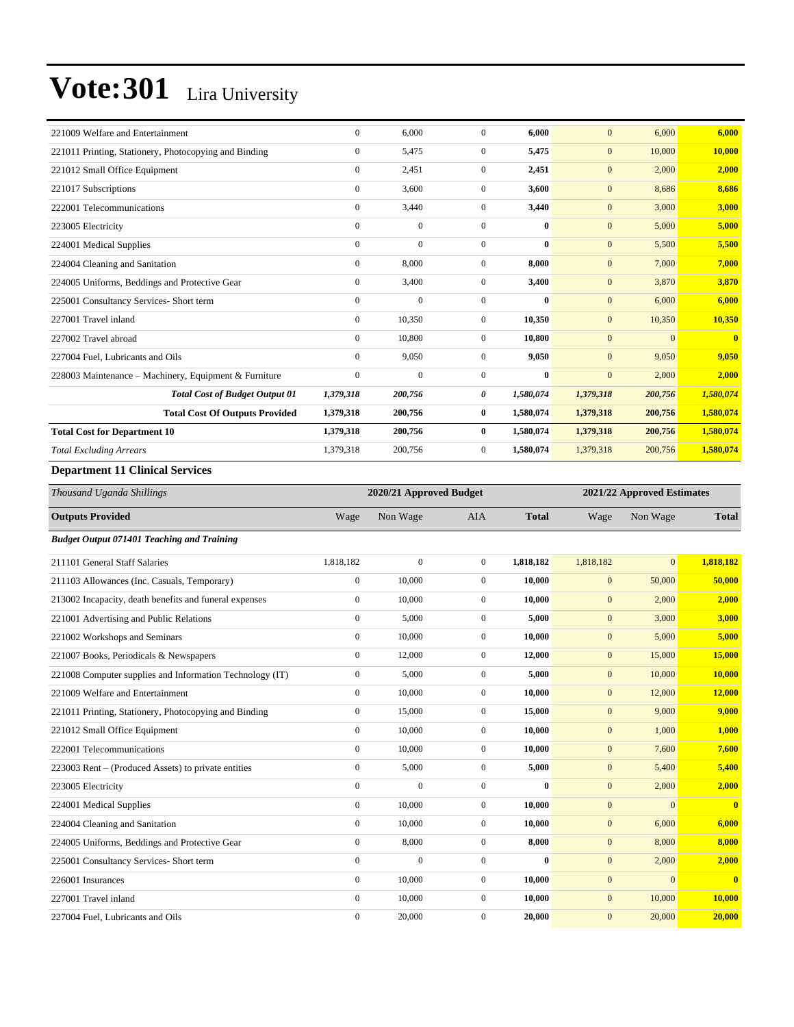| 221009 Welfare and Entertainment                                                                                                                                                                                                                                                                                                   | $\Omega$     | 6,000    | $\Omega$       | 6,000        | $\Omega$     | 6,000        | 6,000        |
|------------------------------------------------------------------------------------------------------------------------------------------------------------------------------------------------------------------------------------------------------------------------------------------------------------------------------------|--------------|----------|----------------|--------------|--------------|--------------|--------------|
| 221011 Printing, Stationery, Photocopying and Binding                                                                                                                                                                                                                                                                              | $\mathbf{0}$ | 5,475    | $\overline{0}$ | 5,475        | $\mathbf{0}$ | 10,000       | 10.000       |
| 221012 Small Office Equipment                                                                                                                                                                                                                                                                                                      | $\mathbf{0}$ | 2,451    | $\overline{0}$ | 2,451        | $\mathbf{0}$ | 2,000        | 2,000        |
| 221017 Subscriptions                                                                                                                                                                                                                                                                                                               | $\mathbf{0}$ | 3,600    | $\Omega$       | 3,600        | $\mathbf{0}$ | 8,686        | 8.686        |
| 222001 Telecommunications                                                                                                                                                                                                                                                                                                          | $\mathbf{0}$ | 3,440    | $\overline{0}$ | 3,440        | $\mathbf{0}$ | 3,000        | 3,000        |
| 223005 Electricity                                                                                                                                                                                                                                                                                                                 | $\Omega$     | $\Omega$ | $\Omega$       | $\mathbf{0}$ | $\mathbf{0}$ | 5,000        | 5,000        |
| 224001 Medical Supplies                                                                                                                                                                                                                                                                                                            | $\mathbf{0}$ | $\Omega$ | $\Omega$       | $\bf{0}$     | $\mathbf{0}$ | 5,500        | 5,500        |
| 224004 Cleaning and Sanitation                                                                                                                                                                                                                                                                                                     | $\mathbf{0}$ | 8,000    | $\overline{0}$ | 8.000        | $\mathbf{0}$ | 7,000        | 7,000        |
| 224005 Uniforms, Beddings and Protective Gear                                                                                                                                                                                                                                                                                      | $\mathbf{0}$ | 3,400    | $\Omega$       | 3,400        | $\mathbf{0}$ | 3,870        | 3,870        |
| 225001 Consultancy Services- Short term                                                                                                                                                                                                                                                                                            | $\mathbf{0}$ | $\theta$ | $\Omega$       | $\bf{0}$     | $\mathbf{0}$ | 6,000        | 6.000        |
| 227001 Travel inland                                                                                                                                                                                                                                                                                                               | $\mathbf{0}$ | 10,350   | $\overline{0}$ | 10,350       | $\mathbf{0}$ | 10,350       | 10,350       |
| 227002 Travel abroad                                                                                                                                                                                                                                                                                                               | $\mathbf{0}$ | 10,800   | $\Omega$       | 10,800       | $\mathbf{0}$ | $\mathbf{0}$ | $\mathbf{0}$ |
| 227004 Fuel, Lubricants and Oils                                                                                                                                                                                                                                                                                                   | $\Omega$     | 9,050    | $\overline{0}$ | 9,050        | $\mathbf{0}$ | 9,050        | 9,050        |
| 228003 Maintenance - Machinery, Equipment & Furniture                                                                                                                                                                                                                                                                              | $\theta$     | $\Omega$ | $\Omega$       | $\bf{0}$     | $\mathbf{0}$ | 2,000        | 2,000        |
| <b>Total Cost of Budget Output 01</b>                                                                                                                                                                                                                                                                                              | 1,379,318    | 200,756  | 0              | 1,580,074    | 1,379,318    | 200,756      | 1,580,074    |
| <b>Total Cost Of Outputs Provided</b>                                                                                                                                                                                                                                                                                              | 1,379,318    | 200,756  | $\bf{0}$       | 1,580,074    | 1,379,318    | 200,756      | 1,580,074    |
| <b>Total Cost for Department 10</b>                                                                                                                                                                                                                                                                                                | 1,379,318    | 200,756  | $\bf{0}$       | 1,580,074    | 1,379,318    | 200,756      | 1,580,074    |
| <b>Total Excluding Arrears</b>                                                                                                                                                                                                                                                                                                     | 1,379,318    | 200,756  | $\overline{0}$ | 1,580,074    | 1,379,318    | 200,756      | 1,580,074    |
| $\mathbf{D}$ $\mathbf{A}$ $\mathbf{A}$ $\mathbf{A}$ $\mathbf{C}$ $\mathbf{H}$ $\mathbf{A}$ $\mathbf{A}$ $\mathbf{A}$ $\mathbf{A}$ $\mathbf{A}$ $\mathbf{A}$ $\mathbf{A}$ $\mathbf{A}$ $\mathbf{A}$ $\mathbf{A}$ $\mathbf{A}$ $\mathbf{A}$ $\mathbf{A}$ $\mathbf{A}$ $\mathbf{A}$ $\mathbf{A}$ $\mathbf{A}$ $\mathbf{A}$ $\mathbf{$ |              |          |                |              |              |              |              |

#### **Department 11 Clinical Services**

| Thousand Uganda Shillings                                |                  | 2020/21 Approved Budget | 2021/22 Approved Estimates |              |              |                |              |
|----------------------------------------------------------|------------------|-------------------------|----------------------------|--------------|--------------|----------------|--------------|
| <b>Outputs Provided</b>                                  | Wage             | Non Wage                | <b>AIA</b>                 | <b>Total</b> | Wage         | Non Wage       | <b>Total</b> |
| <b>Budget Output 071401 Teaching and Training</b>        |                  |                         |                            |              |              |                |              |
| 211101 General Staff Salaries                            | 1,818,182        | $\mathbf{0}$            | $\mathbf{0}$               | 1,818,182    | 1,818,182    | $\overline{0}$ | 1,818,182    |
| 211103 Allowances (Inc. Casuals, Temporary)              | $\overline{0}$   | 10,000                  | $\mathbf{0}$               | 10.000       | $\mathbf{0}$ | 50,000         | 50,000       |
| 213002 Incapacity, death benefits and funeral expenses   | $\overline{0}$   | 10,000                  | $\Omega$                   | 10.000       | $\mathbf{0}$ | 2,000          | 2,000        |
| 221001 Advertising and Public Relations                  | $\mathbf{0}$     | 5,000                   | $\mathbf{0}$               | 5,000        | $\mathbf{0}$ | 3,000          | 3,000        |
| 221002 Workshops and Seminars                            | $\mathbf{0}$     | 10.000                  | $\overline{0}$             | 10,000       | $\mathbf{0}$ | 5,000          | 5,000        |
| 221007 Books, Periodicals & Newspapers                   | $\mathbf{0}$     | 12,000                  | $\mathbf{0}$               | 12,000       | $\mathbf{0}$ | 15,000         | 15,000       |
| 221008 Computer supplies and Information Technology (IT) | $\boldsymbol{0}$ | 5,000                   | $\mathbf{0}$               | 5,000        | $\mathbf{0}$ | 10,000         | 10,000       |
| 221009 Welfare and Entertainment                         | $\mathbf{0}$     | 10,000                  | $\overline{0}$             | 10,000       | $\mathbf{0}$ | 12,000         | 12,000       |
| 221011 Printing, Stationery, Photocopying and Binding    | $\overline{0}$   | 15,000                  | $\overline{0}$             | 15,000       | $\mathbf{0}$ | 9,000          | 9,000        |
| 221012 Small Office Equipment                            | $\mathbf{0}$     | 10,000                  | $\overline{0}$             | 10,000       | $\mathbf{0}$ | 1,000          | 1,000        |
| 222001 Telecommunications                                | $\overline{0}$   | 10,000                  | $\overline{0}$             | 10,000       | $\mathbf{0}$ | 7,600          | 7,600        |
| 223003 Rent – (Produced Assets) to private entities      | $\mathbf{0}$     | 5,000                   | $\overline{0}$             | 5,000        | $\mathbf{0}$ | 5,400          | 5,400        |
| 223005 Electricity                                       | $\Omega$         | $\Omega$                | $\Omega$                   | $\bf{0}$     | $\mathbf{0}$ | 2,000          | 2,000        |
| 224001 Medical Supplies                                  | $\mathbf{0}$     | 10,000                  | $\mathbf{0}$               | 10,000       | $\mathbf{0}$ | $\overline{0}$ | $\bf{0}$     |
| 224004 Cleaning and Sanitation                           | $\mathbf{0}$     | 10.000                  | $\overline{0}$             | 10.000       | $\mathbf{0}$ | 6,000          | 6,000        |
| 224005 Uniforms, Beddings and Protective Gear            | $\mathbf{0}$     | 8,000                   | $\overline{0}$             | 8,000        | $\mathbf{0}$ | 8,000          | 8,000        |
| 225001 Consultancy Services- Short term                  | $\mathbf{0}$     | $\overline{0}$          | $\overline{0}$             | $\bf{0}$     | $\mathbf{0}$ | 2,000          | 2,000        |
| 226001 Insurances                                        | $\mathbf{0}$     | 10,000                  | $\overline{0}$             | 10,000       | $\mathbf{0}$ | $\overline{0}$ | $\bf{0}$     |
| 227001 Travel inland                                     | $\overline{0}$   | 10,000                  | $\mathbf{0}$               | 10,000       | $\mathbf{0}$ | 10,000         | 10,000       |
| 227004 Fuel, Lubricants and Oils                         | $\mathbf{0}$     | 20,000                  | 0                          | 20,000       | $\mathbf{0}$ | 20,000         | 20,000       |